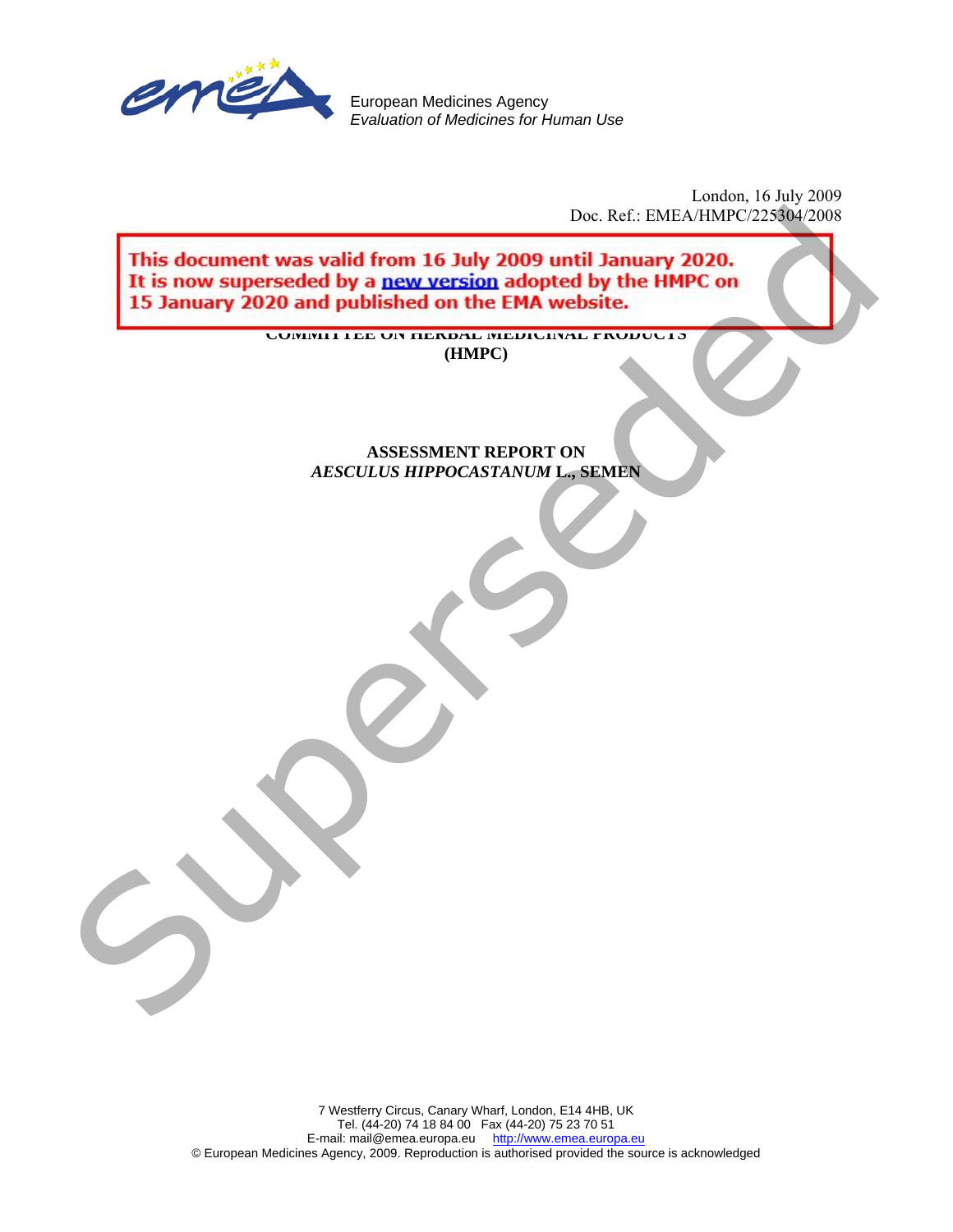

European Medicines Agency *Evaluation of Medicines for Human Use* 

> London, 16 July 2009 Doc. Ref.: EMEA/HMPC/225304/2008

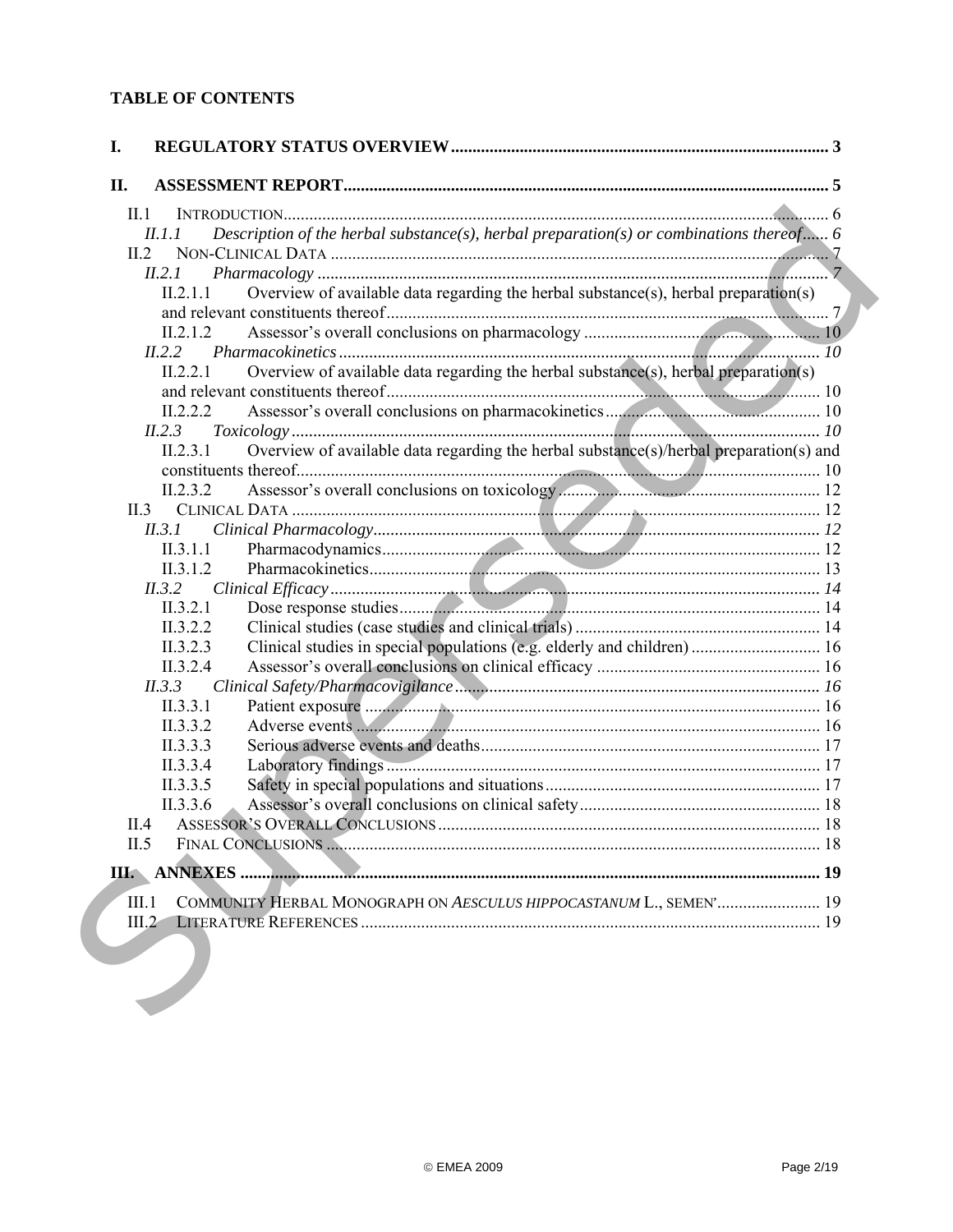# **TABLE OF CONTENTS**

| II.     |                                                                                                    |  |
|---------|----------------------------------------------------------------------------------------------------|--|
| $\Pi.1$ |                                                                                                    |  |
|         | Description of the herbal substance(s), herbal preparation(s) or combinations thereof 6<br>II.1.1  |  |
|         | II.2                                                                                               |  |
|         | II.2.1                                                                                             |  |
|         | Overview of available data regarding the herbal substance(s), herbal preparation(s)<br>II.2.1.1    |  |
|         |                                                                                                    |  |
|         | II.2.1.2                                                                                           |  |
|         | II.2.2                                                                                             |  |
|         | Overview of available data regarding the herbal substance(s), herbal preparation(s)<br>II.2.2.1    |  |
|         |                                                                                                    |  |
|         | II.2.2.2                                                                                           |  |
|         | II.2.3                                                                                             |  |
|         | Overview of available data regarding the herbal substance(s)/herbal preparation(s) and<br>II.2.3.1 |  |
|         |                                                                                                    |  |
|         | II.2.3.2                                                                                           |  |
|         |                                                                                                    |  |
|         | II.3.1                                                                                             |  |
|         | II.3.1.1                                                                                           |  |
|         | II.3.1.2                                                                                           |  |
|         | II.3.2                                                                                             |  |
|         | II.3.2.1                                                                                           |  |
|         | II.3.2.2<br>II.3.2.3                                                                               |  |
|         | Clinical studies in special populations (e.g. elderly and children) 16<br>II.3.2.4                 |  |
|         | II.3.3                                                                                             |  |
|         | II.3.3.1                                                                                           |  |
|         | II.3.3.2                                                                                           |  |
|         | II.3.3.3                                                                                           |  |
|         | II.3.3.4                                                                                           |  |
|         | II.3.3.5                                                                                           |  |
|         | II.3.3.6                                                                                           |  |
|         | II.4                                                                                               |  |
| II.5    |                                                                                                    |  |
|         |                                                                                                    |  |
|         |                                                                                                    |  |
| III.1   | COMMUNITY HERBAL MONOGRAPH ON AESCULUS HIPPOCASTANUM L., SEMEN' 19                                 |  |
| III.2   |                                                                                                    |  |
|         |                                                                                                    |  |
|         |                                                                                                    |  |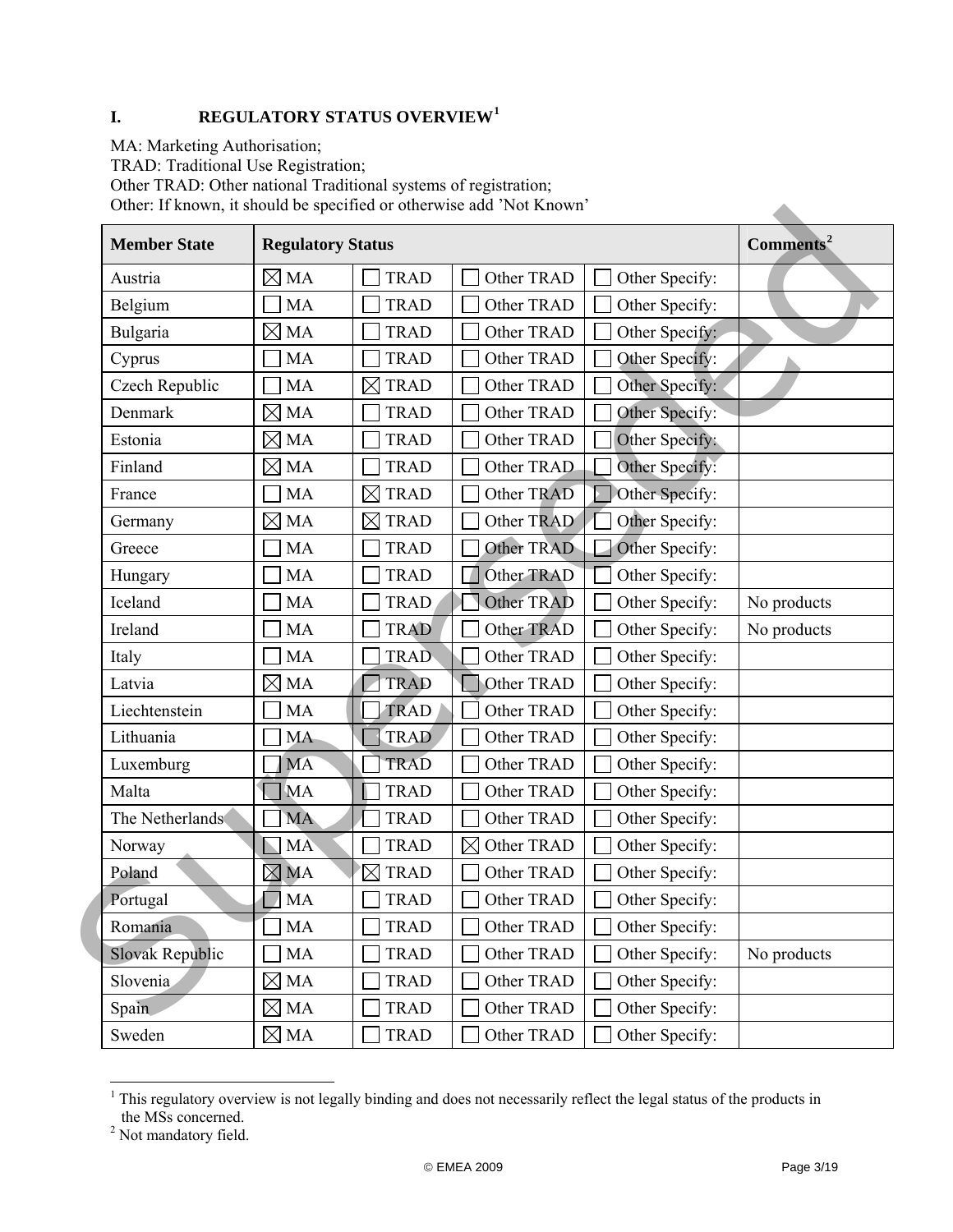# <span id="page-2-0"></span>**I. REGULATORY STATUS OVERVIEW[1](#page-2-1)**

MA: Marketing Authorisation;

TRAD: Traditional Use Registration;

Other TRAD: Other national Traditional systems of registration;

Other: If known, it should be specified or otherwise add 'Not Known'

| Other: If known, it should be specified or otherwise add frou Known |                          |                            |                           |                       |                       |
|---------------------------------------------------------------------|--------------------------|----------------------------|---------------------------|-----------------------|-----------------------|
| <b>Member State</b>                                                 | <b>Regulatory Status</b> |                            |                           |                       | Comments <sup>2</sup> |
| Austria                                                             | $\boxtimes$ MA           | <b>TRAD</b>                | Other TRAD                | Other Specify:        |                       |
| Belgium                                                             | <b>MA</b>                | <b>TRAD</b>                | Other TRAD                | Other Specify:        |                       |
| Bulgaria                                                            | $\boxtimes$ MA           | <b>TRAD</b>                | Other TRAD                | Other Specify:        |                       |
| Cyprus                                                              | MA                       | <b>TRAD</b>                | Other TRAD                | Other Specify:        |                       |
| Czech Republic                                                      | <b>MA</b>                | $\boxtimes$<br><b>TRAD</b> | Other TRAD                | Other Specify:        |                       |
| Denmark                                                             | $\boxtimes$ MA           | <b>TRAD</b>                | Other TRAD                | Other Specify:        |                       |
| Estonia                                                             | $\boxtimes$ MA           | <b>TRAD</b>                | Other TRAD                | Other Specify:        |                       |
| Finland                                                             | $\boxtimes$ MA           | <b>TRAD</b>                | Other TRAD                | Other Specify:        |                       |
| France                                                              | <b>MA</b>                | <b>TRAD</b><br>$\boxtimes$ | Other TRAD                | Other Specify:        |                       |
| Germany                                                             | $\boxtimes$ MA           | <b>TRAD</b><br>$\boxtimes$ | Other TRAD                | Other Specify:        |                       |
| Greece                                                              | <b>MA</b>                | <b>TRAD</b>                | Other TRAD                | Other Specify:        |                       |
| Hungary                                                             | MA                       | <b>TRAD</b>                | Other TRAD                | Other Specify:        |                       |
| Iceland                                                             | MA                       | <b>TRAD</b>                | Other TRAD                | Other Specify:        | No products           |
| Ireland                                                             | <b>MA</b>                | <b>TRAD</b>                | Other TRAD                | Other Specify:        | No products           |
| Italy                                                               | MA                       | <b>TRAD</b>                | Other TRAD                | Other Specify:        |                       |
| Latvia                                                              | $\boxtimes$ MA           | <b>TRAD</b>                | Other TRAD                | Other Specify:        |                       |
| Liechtenstein                                                       | <b>MA</b>                | <b>TRAD</b>                | Other TRAD                | Other Specify:        |                       |
| Lithuania                                                           | <b>MA</b>                | <b>TRAD</b>                | Other TRAD                | Other Specify:        |                       |
| Luxemburg                                                           | <b>MA</b>                | <b>TRAD</b>                | Other TRAD                | Other Specify:        |                       |
| Malta                                                               | <b>MA</b>                | <b>TRAD</b>                | Other TRAD                | Other Specify:        |                       |
| The Netherlands                                                     | <b>MA</b>                | <b>TRAD</b>                | Other TRAD                | Other Specify:        |                       |
| Norway                                                              | <b>MA</b>                | <b>TRAD</b>                | Other TRAD<br>$\boxtimes$ | Other Specify:        |                       |
| Poland                                                              | $\boxtimes$ MA           | <b>TRAD</b><br>$\boxtimes$ | Other TRAD                | Other Specify:        |                       |
| Portugal                                                            | $\Box$ MA                | TRAD                       | Other TRAD                | $\Box$ Other Specify: |                       |
| Romania                                                             | MA                       | <b>TRAD</b>                | Other TRAD                | Other Specify:        |                       |
| <b>Slovak Republic</b>                                              | MA                       | <b>TRAD</b>                | Other TRAD                | Other Specify:        | No products           |
| Slovenia                                                            | $\boxtimes$ MA           | <b>TRAD</b>                | Other TRAD                | Other Specify:        |                       |
| Spain                                                               | $\boxtimes$ MA           | <b>TRAD</b>                | Other TRAD                | Other Specify:        |                       |
| Sweden                                                              | $\boxtimes$ MA           | TRAD                       | Other TRAD                | Other Specify:        |                       |

<span id="page-2-1"></span><sup>&</sup>lt;sup>1</sup> This regulatory overview is not legally binding and does not necessarily reflect the legal status of the products in the MSs concerned. 2 Not mandatory field.

<span id="page-2-2"></span>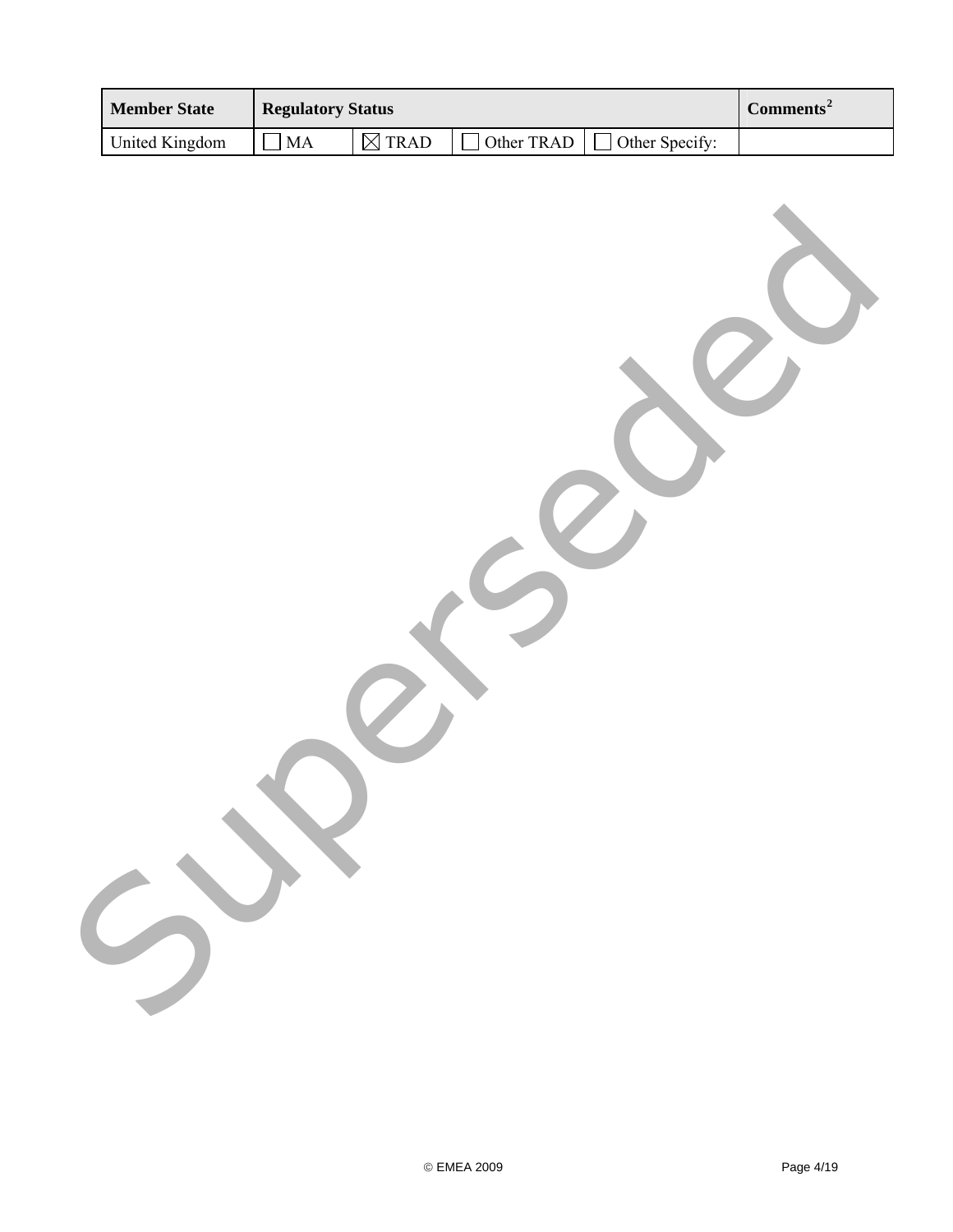| <b>Member State</b> |
|---------------------|
| United Kingdom      |
| 5                   |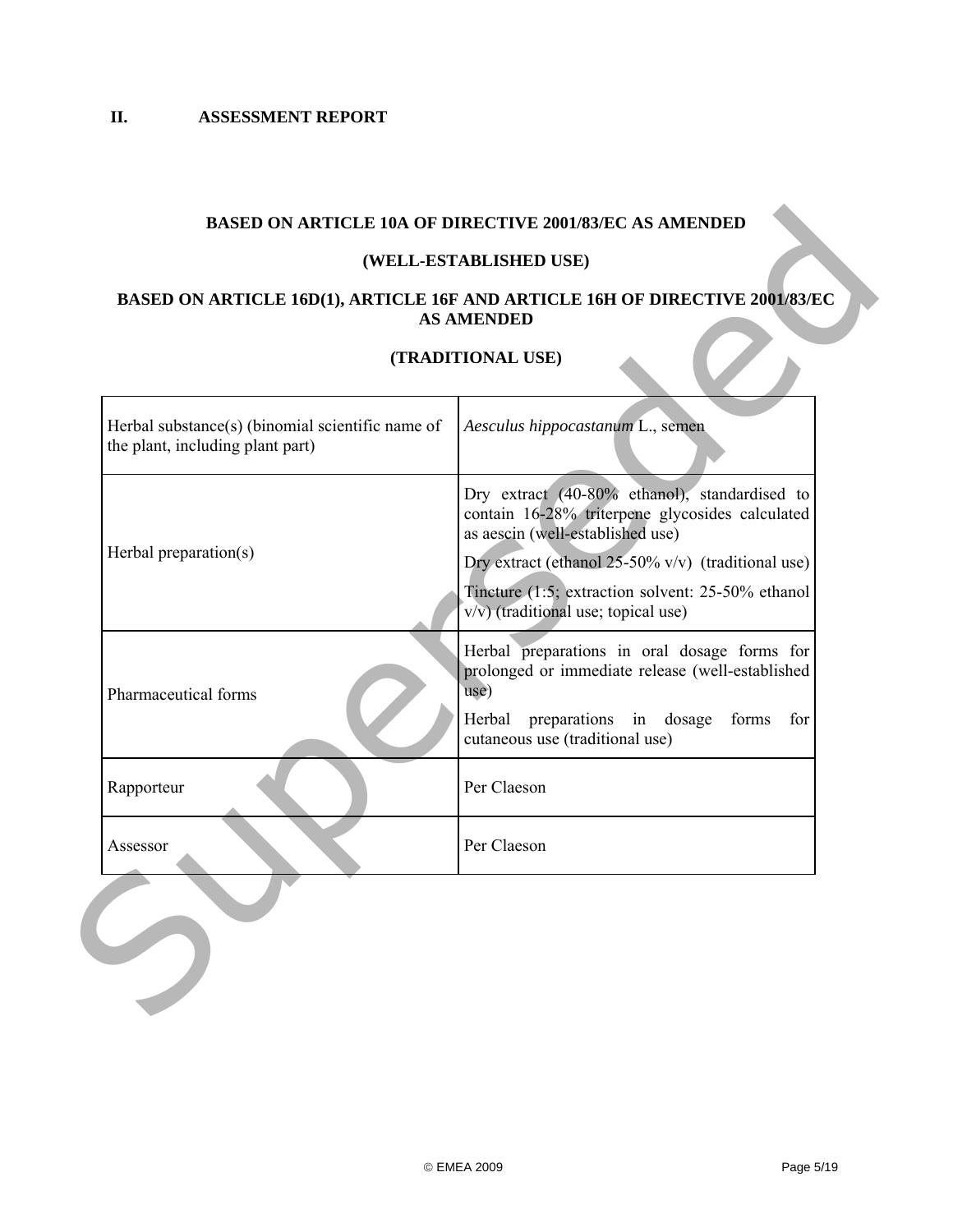# **BASED ON ARTICLE 10A OF DIRECTIVE 2001/83/EC AS AMENDED**

## **(WELL-ESTABLISHED USE)**

## **BASED ON ARTICLE 16D(1), ARTICLE 16F AND ARTICLE 16H OF DIRECTIVE 2001/83/EC AS AMENDED**

## **(TRADITIONAL USE)**

<span id="page-4-0"></span>

|                                                                                      | (TRADITIONAL USE)                                                                                                                                    |  |
|--------------------------------------------------------------------------------------|------------------------------------------------------------------------------------------------------------------------------------------------------|--|
| Herbal substance(s) (binomial scientific name of<br>the plant, including plant part) | Aesculus hippocastanum L., semen                                                                                                                     |  |
|                                                                                      | Dry extract (40-80% ethanol), standardised to<br>contain 16-28% triterpene glycosides calculated<br>as aescin (well-established use)                 |  |
| Herbal preparation(s)                                                                | Dry extract (ethanol $25-50\%$ v/v) (traditional use)<br>Tincture (1:5; extraction solvent: 25-50% ethanol<br>$v/v$ ) (traditional use; topical use) |  |
| Pharmaceutical forms                                                                 | Herbal preparations in oral dosage forms for<br>prolonged or immediate release (well-established<br>use)                                             |  |
|                                                                                      | Herbal preparations in dosage<br>forms<br>for<br>cutaneous use (traditional use)                                                                     |  |
| Rapporteur                                                                           | Per Claeson                                                                                                                                          |  |
| Assessor                                                                             | Per Claeson                                                                                                                                          |  |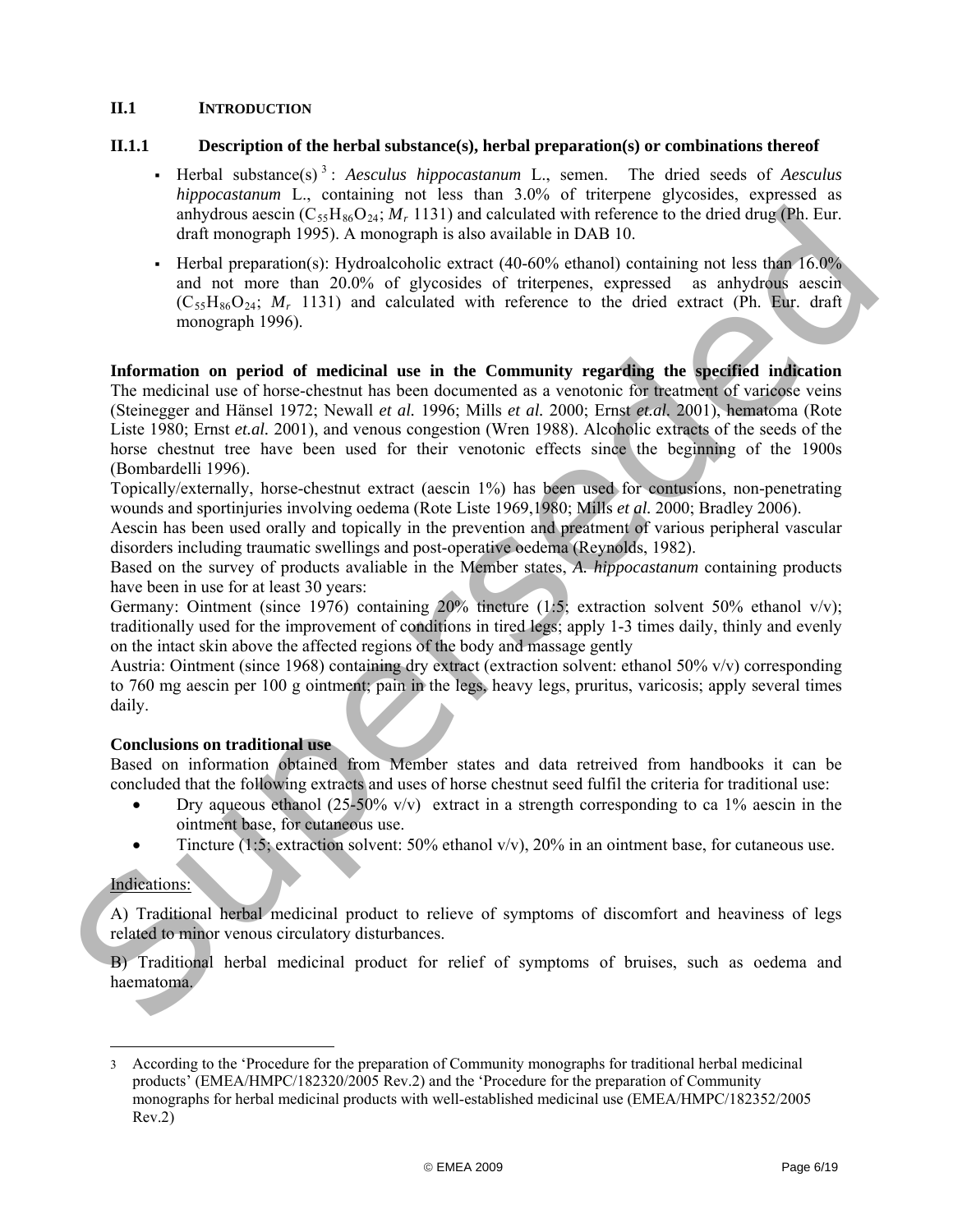## <span id="page-5-0"></span>**II.1 INTRODUCTION**

## **II.1.1 Description of the herbal substance(s), herbal preparation(s) or combinations thereof**

- Herbal substance(s) [3](#page-5-2) : *Aesculus hippocastanum* L., semen. The dried seeds of *Aesculus hippocastanum* L., containing not less than 3.0% of triterpene glycosides, expressed as anhydrous aescin  $(C_{55}H_{86}O_{24}; M_{r} 1131)$  and calculated with reference to the dried drug (Ph. Eur. draft monograph 1995). A monograph is also available in DAB 10.
- Herbal preparation(s): Hydroalcoholic extract  $(40-60\%$  ethanol) containing not less than 16.0% and not more than 20.0% of glycosides of triterpenes, expressed as anhydrous aescin  $(C_{55}H_{86}O_{24}; M_{r}$  1131) and calculated with reference to the dried extract (Ph. Eur. draft monograph 1996).

<span id="page-5-1"></span>**Information on period of medicinal use in the Community regarding the specified indication**  The medicinal use of horse-chestnut has been documented as a venotonic for treatment of varicose veins (Steinegger and Hänsel 1972; Newall *et al.* 1996; Mills *et al.* 2000; Ernst *et.al.* 2001), hematoma (Rote Liste 1980; Ernst *et.al.* 2001), and venous congestion (Wren 1988). Alcoholic extracts of the seeds of the horse chestnut tree have been used for their venotonic effects since the beginning of the 1900s (Bombardelli 1996). analytimotic scenaring collections, 1131) and activated with reference to the drived manipulation of the state of the method of the method of the method of the method of the state of the method of the state of the state o

Topically/externally, horse-chestnut extract (aescin 1%) has been used for contusions, non-penetrating wounds and sportinjuries involving oedema (Rote Liste 1969,1980; Mills *et al.* 2000; Bradley 2006).

Aescin has been used orally and topically in the prevention and preatment of various peripheral vascular disorders including traumatic swellings and post-operative oedema (Reynolds, 1982).

Based on the survey of products avaliable in the Member states, *A. hippocastanum* containing products have been in use for at least 30 years:

Germany: Ointment (since 1976) containing 20% tincture (1:5; extraction solvent 50% ethanol v/v); traditionally used for the improvement of conditions in tired legs; apply 1-3 times daily, thinly and evenly on the intact skin above the affected regions of the body and massage gently

Austria: Ointment (since 1968) containing dry extract (extraction solvent: ethanol 50% v/v) corresponding to 760 mg aescin per 100 g ointment; pain in the legs, heavy legs, pruritus, varicosis; apply several times daily.

## **Conclusions on traditional use**

Based on information obtained from Member states and data retreived from handbooks it can be concluded that the following extracts and uses of horse chestnut seed fulfil the criteria for traditional use:

- Dry aqueous ethanol (25-50% v/v) extract in a strength corresponding to ca 1% aescin in the ointment base, for cutaneous use.
- Tincture (1:5; extraction solvent: 50% ethanol  $v/v$ ), 20% in an ointment base, for cutaneous use.

## Indications:

l

A) Traditional herbal medicinal product to relieve of symptoms of discomfort and heaviness of legs related to minor venous circulatory disturbances.

B) Traditional herbal medicinal product for relief of symptoms of bruises, such as oedema and haematoma.

<span id="page-5-2"></span><sup>3</sup> According to the 'Procedure for the preparation of Community monographs for traditional herbal medicinal products' (EMEA/HMPC/182320/2005 Rev.2) and the 'Procedure for the preparation of Community monographs for herbal medicinal products with well-established medicinal use [\(EMEA/HMPC/182352/2005](http://www.emea.europa.eu/pdfs/human/hmpc/18235205en.pdf) Rev.2)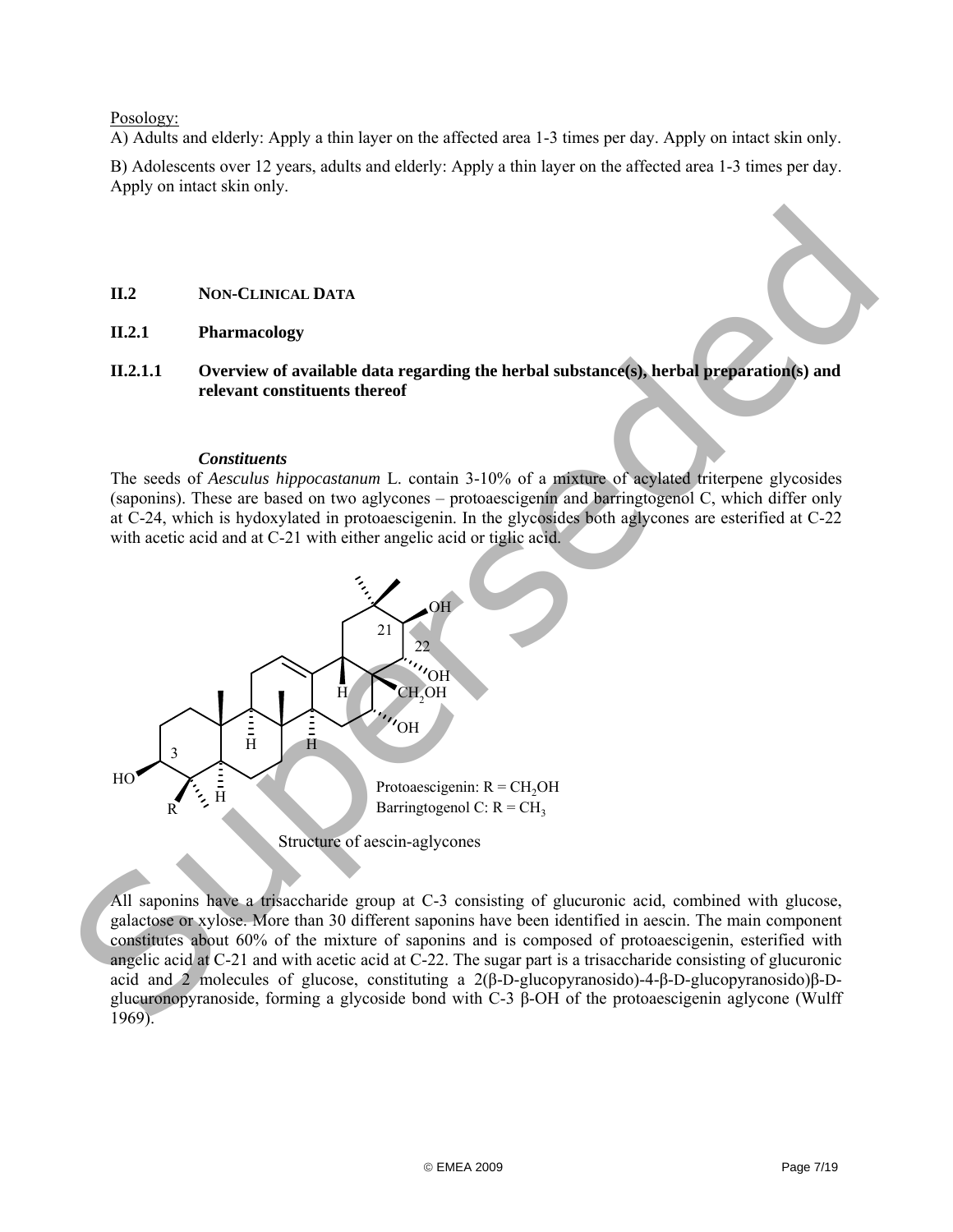#### Posology:

A) Adults and elderly: Apply a thin layer on the affected area 1-3 times per day. Apply on intact skin only.

B) Adolescents over 12 years, adults and elderly: Apply a thin layer on the affected area 1-3 times per day. Apply on intact skin only.

## **II.2 NON-CLINICAL DATA**

- <span id="page-6-1"></span>**II.2.1 Pharmacology**
- <span id="page-6-2"></span>**II.2.1.1 Overview of available data regarding the herbal substance(s), herbal preparation(s) and relevant constituents thereof**

## *Constituents*

The seeds of *Aesculus hippocastanum* L. contain 3-10% of a mixture of acylated triterpene glycosides (saponins). These are based on two aglycones – protoaescigenin and barringtogenol C, which differ only at C-24, which is hydoxylated in protoaescigenin. In the glycosides both aglycones are esterified at C-22 with acetic acid and at C-21 with either angelic acid or tiglic acid.

<span id="page-6-0"></span>

All saponins have a trisaccharide group at C-3 consisting of glucuronic acid, combined with glucose, galactose or xylose. More than 30 different saponins have been identified in aescin. The main component constitutes about 60% of the mixture of saponins and is composed of protoaescigenin, esterified with angelic acid at C-21 and with acetic acid at C-22. The sugar part is a trisaccharide consisting of glucuronic acid and 2 molecules of glucose, constituting a 2(β-D-glucopyranosido)-4-β-D-glucopyranosido)β-Dglucuronopyranoside, forming a glycoside bond with C-3 β-OH of the protoaescigenin aglycone (Wulff 1969).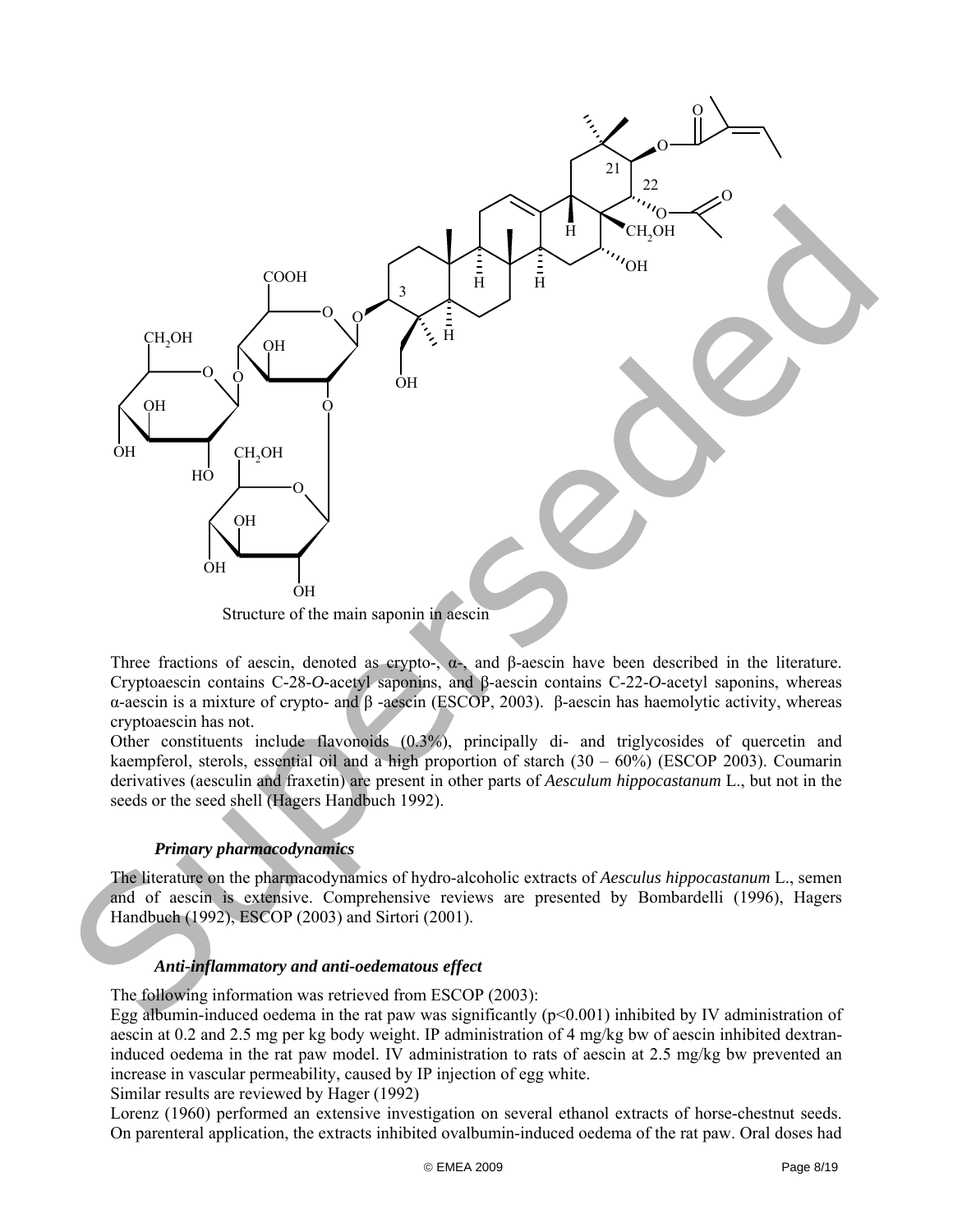

Three fractions of aescin, denoted as crypto-,  $\alpha$ -, and  $\beta$ -aescin have been described in the literature. Cryptoaescin contains C-28-*O*-acetyl saponins, and β-aescin contains C-22-*O*-acetyl saponins, whereas α-aescin is a mixture of crypto- and β -aescin (ESCOP, 2003). β-aescin has haemolytic activity, whereas cryptoaescin has not.

Other constituents include flavonoids (0.3%), principally di- and triglycosides of quercetin and kaempferol, sterols, essential oil and a high proportion of starch (30 – 60%) (ESCOP 2003). Coumarin derivatives (aesculin and fraxetin) are present in other parts of *Aesculum hippocastanum* L., but not in the seeds or the seed shell (Hagers Handbuch 1992).

## *Primary pharmacodynamics*

The literature on the pharmacodynamics of hydro-alcoholic extracts of *Aesculus hippocastanum* L., semen and of aescin is extensive. Comprehensive reviews are presented by Bombardelli (1996), Hagers Handbuch (1992), ESCOP (2003) and Sirtori (2001).

#### *Anti-inflammatory and anti-oedematous effect*

The following information was retrieved from ESCOP (2003):

Egg albumin-induced oedema in the rat paw was significantly  $(p<0.001)$  inhibited by IV administration of aescin at 0.2 and 2.5 mg per kg body weight. IP administration of 4 mg/kg bw of aescin inhibited dextraninduced oedema in the rat paw model. IV administration to rats of aescin at 2.5 mg/kg bw prevented an increase in vascular permeability, caused by IP injection of egg white.

Similar results are reviewed by Hager (1992)

Lorenz (1960) performed an extensive investigation on several ethanol extracts of horse-chestnut seeds. On parenteral application, the extracts inhibited ovalbumin-induced oedema of the rat paw. Oral doses had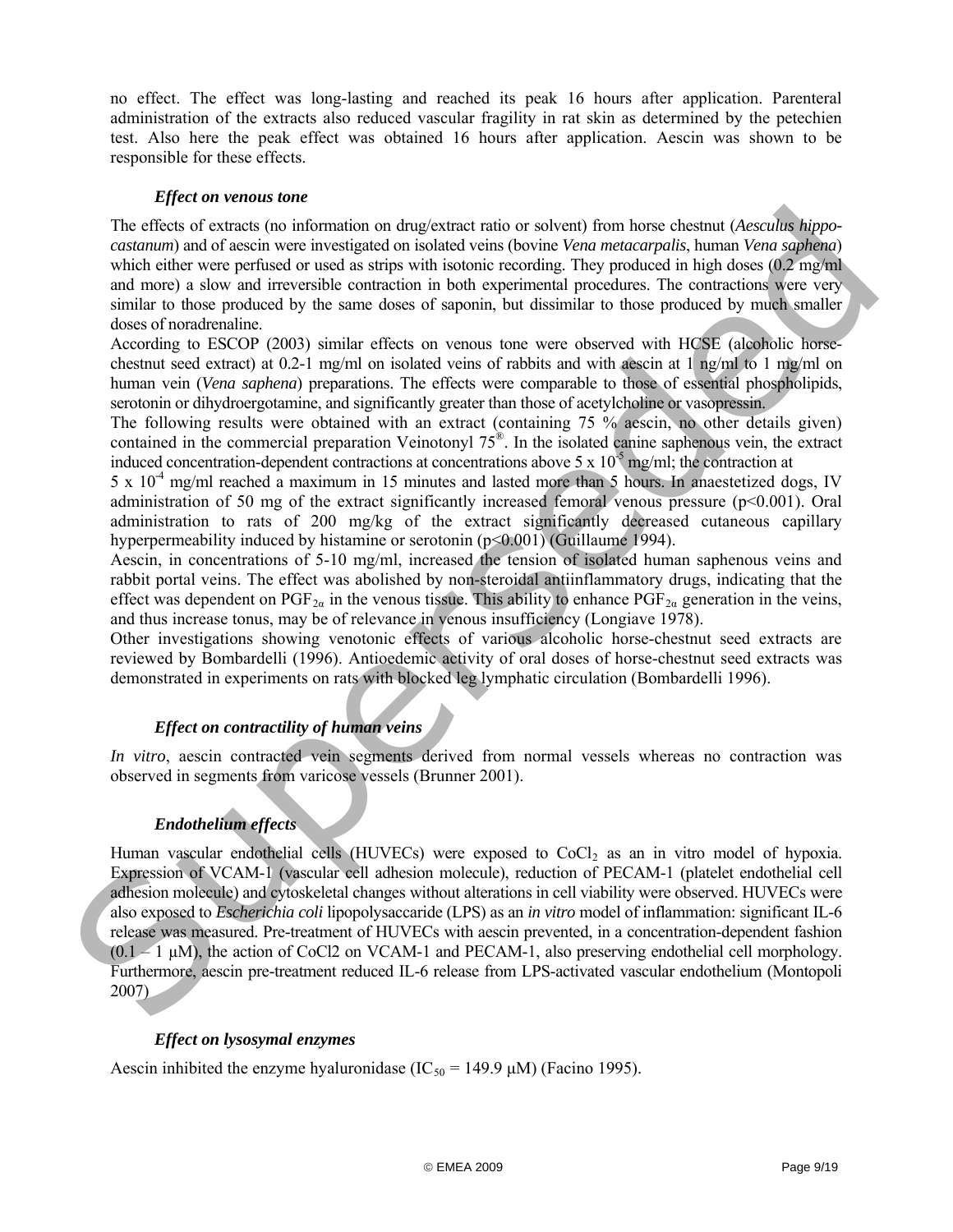no effect. The effect was long-lasting and reached its peak 16 hours after application. Parenteral administration of the extracts also reduced vascular fragility in rat skin as determined by the petechien test. Also here the peak effect was obtained 16 hours after application. Aescin was shown to be responsible for these effects.

## *Effect on venous tone*

The effects of extracts (no information on drug/extract ratio or solvent) from horse chestnut (*Aesculus hippocastanum*) and of aescin were investigated on isolated veins (bovine *Vena metacarpalis*, human *Vena saphena*) which either were perfused or used as strips with isotonic recording. They produced in high doses (0.2 mg/ml) and more) a slow and irreversible contraction in both experimental procedures. The contractions were very similar to those produced by the same doses of saponin, but dissimilar to those produced by much smaller doses of noradrenaline.

According to ESCOP (2003) similar effects on venous tone were observed with HCSE (alcoholic horsechestnut seed extract) at 0.2-1 mg/ml on isolated veins of rabbits and with aescin at 1 ng/ml to 1 mg/ml on human vein (*Vena saphena*) preparations. The effects were comparable to those of essential phospholipids, serotonin or dihydroergotamine, and significantly greater than those of acetylcholine or vasopressin.

The following results were obtained with an extract (containing 75 % aescin, no other details given) contained in the commercial preparation Veinotonyl 75®. In the isolated canine saphenous vein, the extract induced concentration-dependent contractions at concentrations above 5 x  $10^{-5}$  mg/ml; the contraction at

 $5 \times 10^{-4}$  mg/ml reached a maximum in 15 minutes and lasted more than 5 hours. In anaestetized dogs, IV administration of 50 mg of the extract significantly increased femoral venous pressure (p<0.001). Oral administration to rats of 200 mg/kg of the extract significantly decreased cutaneous capillary hyperpermeability induced by histamine or serotonin (p<0.001) (Guillaume 1994).

Aescin, in concentrations of 5-10 mg/ml, increased the tension of isolated human saphenous veins and rabbit portal veins. The effect was abolished by non-steroidal antiinflammatory drugs, indicating that the effect was dependent on  $PGF_{2\alpha}$  in the venous tissue. This ability to enhance  $PGF_{2\alpha}$  generation in the veins, and thus increase tonus, may be of relevance in venous insufficiency (Longiave 1978).

Other investigations showing venotonic effects of various alcoholic horse-chestnut seed extracts are reviewed by Bombardelli (1996). Antioedemic activity of oral doses of horse-chestnut seed extracts was demonstrated in experiments on rats with blocked leg lymphatic circulation (Bombardelli 1996).

## *Effect on contractility of human veins*

*In vitro*, aescin contracted vein segments derived from normal vessels whereas no contraction was observed in segments from varicose vessels (Brunner 2001).

## *Endothelium effects*

Human vascular endothelial cells (HUVECs) were exposed to CoCl<sub>2</sub> as an in vitro model of hypoxia. Expression of VCAM-1 (vascular cell adhesion molecule), reduction of PECAM-1 (platelet endothelial cell adhesion molecule) and cytoskeletal changes without alterations in cell viability were observed. HUVECs were also exposed to *Escherichia coli* lipopolysaccaride (LPS) as an *in vitro* model of inflammation: significant IL-6 release was measured. Pre-treatment of HUVECs with aescin prevented, in a concentration-dependent fashion  $(0.1 - 1 \mu M)$ , the action of CoCl2 on VCAM-1 and PECAM-1, also preserving endothelial cell morphology. Furthermore, aescin pre-treatment reduced IL-6 release from LPS-activated vascular endothelium (Montopoli 2007) The effects of extracts (or information on dugicatate ratio or solvent) from horse chestant (decodin higro-<br>contemporation considers reseligibled to delay entropy or the main of the consideration of the state of the const

## *Effect on lysosymal enzymes*

Aescin inhibited the enzyme hyaluronidase (IC<sub>50</sub> = 149.9  $\mu$ M) (Facino 1995).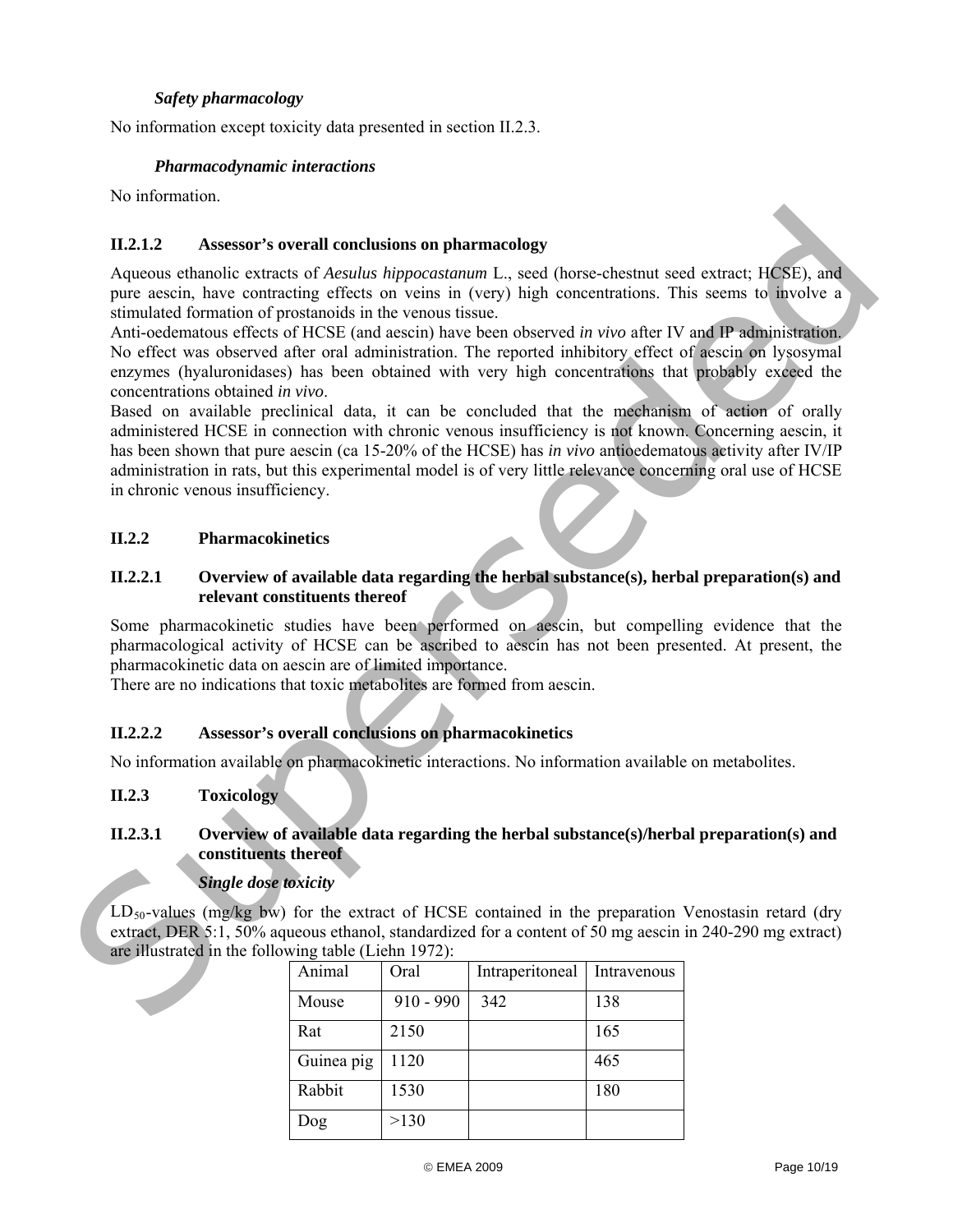## *Safety pharmacology*

No information except toxicity data presented in section II.2.3.

### *Pharmacodynamic interactions*

No information.

## **II.2.1.2 Assessor's overall conclusions on pharmacology**

Aqueous ethanolic extracts of *Aesulus hippocastanum* L., seed (horse-chestnut seed extract; HCSE), and pure aescin, have contracting effects on veins in (very) high concentrations. This seems to involve a stimulated formation of prostanoids in the venous tissue.

Anti-oedematous effects of HCSE (and aescin) have been observed *in vivo* after IV and IP administration. No effect was observed after oral administration. The reported inhibitory effect of aescin on lysosymal enzymes (hyaluronidases) has been obtained with very high concentrations that probably exceed the concentrations obtained *in vivo*.

<span id="page-9-0"></span>Based on available preclinical data, it can be concluded that the mechanism of action of orally administered HCSE in connection with chronic venous insufficiency is not known. Concerning aescin, it has been shown that pure aescin (ca 15-20% of the HCSE) has *in vivo* antioedematous activity after IV/IP administration in rats, but this experimental model is of very little relevance concerning oral use of HCSE in chronic venous insufficiency. 11.2.1.2 Assessor's overall conclusions on pharmacology<br>Aqueous estamble extracts of *Ansulate hippocationum* 1., seed there-education section ( $\mathbf{S}$ ), and<br>pure residue the contrading effects on verios in (very) high c

## <span id="page-9-1"></span>**II.2.2 Pharmacokinetics**

## <span id="page-9-2"></span>**II.2.2.1 Overview of available data regarding the herbal substance(s), herbal preparation(s) and relevant constituents thereof**

Some pharmacokinetic studies have been performed on aescin, but compelling evidence that the pharmacological activity of HCSE can be ascribed to aescin has not been presented. At present, the pharmacokinetic data on aescin are of limited importance.

There are no indications that toxic metabolites are formed from aescin.

## <span id="page-9-3"></span>**II.2.2.2 Assessor's overall conclusions on pharmacokinetics**

No information available on pharmacokinetic interactions. No information available on metabolites.

## <span id="page-9-4"></span>**II.2.3 Toxicology**

#### <span id="page-9-5"></span>**II.2.3.1 Overview of available data regarding the herbal substance(s)/herbal preparation(s) and constituents thereof**

## *Single dose toxicity*

 $LD_{50}$ -values (mg/kg bw) for the extract of HCSE contained in the preparation Venostasin retard (dry extract, DER 5:1, 50% aqueous ethanol, standardized for a content of 50 mg aescin in 240-290 mg extract) are illustrated in the following table (Liehn 1972):

| Animal     | Oral        | Intraperitoneal | Intravenous |
|------------|-------------|-----------------|-------------|
| Mouse      | $910 - 990$ | 342             | 138         |
| Rat        | 2150        |                 | 165         |
| Guinea pig | 1120        |                 | 465         |
| Rabbit     | 1530        |                 | 180         |
| Dog        | >130        |                 |             |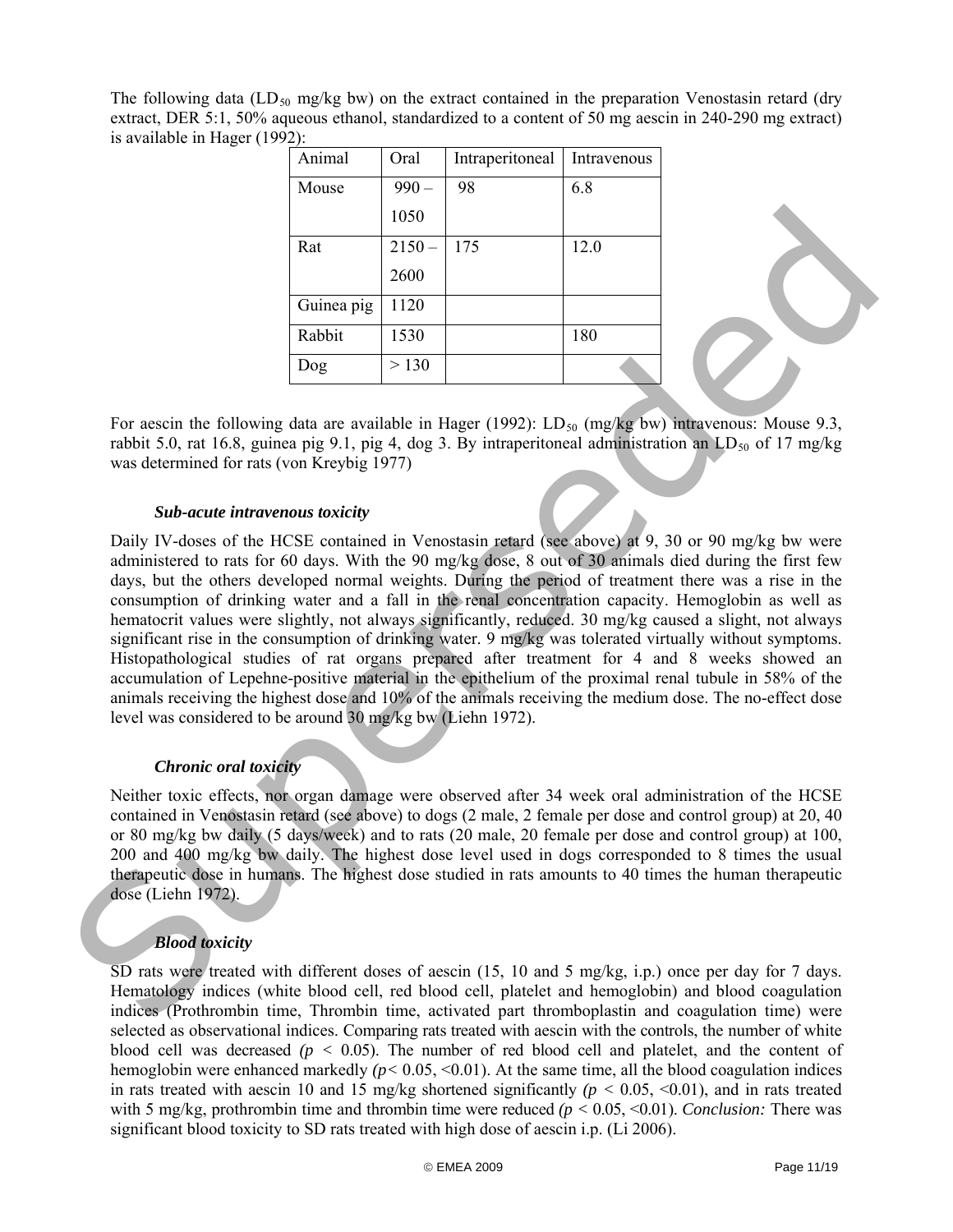The following data (LD<sub>50</sub> mg/kg bw) on the extract contained in the preparation Venostasin retard (dry extract, DER 5:1, 50% aqueous ethanol, standardized to a content of 50 mg aescin in 240-290 mg extract) is available in Hager (1992):

| Animal     | Oral     | Intraperitoneal | Intravenous |
|------------|----------|-----------------|-------------|
| Mouse      | 990      | 98              | 6.8         |
|            | 1050     |                 |             |
| Rat        | $2150 -$ | 175             | 12.0        |
|            | 2600     |                 |             |
| Guinea pig | 1120     |                 |             |
| Rabbit     | 1530     |                 | 180         |
| Dog        | > 130    |                 |             |

For aescin the following data are available in Hager (1992):  $LD_{50}$  (mg/kg bw) intravenous: Mouse 9.3, rabbit 5.0, rat 16.8, guinea pig 9.1, pig 4, dog 3. By intraperitoneal administration an  $LD_{50}$  of 17 mg/kg was determined for rats (von Kreybig 1977)

#### *Sub-acute intravenous toxicity*

Daily IV-doses of the HCSE contained in Venostasin retard (see above) at 9, 30 or 90 mg/kg bw were administered to rats for 60 days. With the 90 mg/kg dose, 8 out of 30 animals died during the first few days, but the others developed normal weights. During the period of treatment there was a rise in the consumption of drinking water and a fall in the renal concentration capacity. Hemoglobin as well as hematocrit values were slightly, not always significantly, reduced. 30 mg/kg caused a slight, not always significant rise in the consumption of drinking water. 9 mg/kg was tolerated virtually without symptoms. Histopathological studies of rat organs prepared after treatment for 4 and 8 weeks showed an accumulation of Lepehne-positive material in the epithelium of the proximal renal tubule in 58% of the animals receiving the highest dose and 10% of the animals receiving the medium dose. The no-effect dose level was considered to be around 30 mg/kg bw (Liehn 1972). 1656<br>
Rate 2660<br>
2660<br>
Commos pag 112n<br>
2660<br>
2660<br>
2660<br>
2660<br>
2660<br>
2660<br>
2660<br>
2660<br>
2660<br>
2660<br>
2660<br>
2660<br>
2660<br>
2660<br>
2660<br>
2660<br>
2660<br>
2660<br>
2660<br>
2660<br>
2660<br>
2660<br>
2660<br>
2660<br>
2660<br>
2660<br>
2660<br>
2660<br>
2660<br>
2660<br>
2

## *Chronic oral toxicity*

Neither toxic effects, nor organ damage were observed after 34 week oral administration of the HCSE contained in Venostasin retard (see above) to dogs (2 male, 2 female per dose and control group) at 20, 40 or 80 mg/kg bw daily (5 days/week) and to rats (20 male, 20 female per dose and control group) at 100, 200 and 400 mg/kg bw daily. The highest dose level used in dogs corresponded to 8 times the usual therapeutic dose in humans. The highest dose studied in rats amounts to 40 times the human therapeutic dose (Liehn 1972).

## *Blood toxicity*

SD rats were treated with different doses of aescin (15, 10 and 5 mg/kg, i.p.) once per day for 7 days. Hematology indices (white blood cell, red blood cell, platelet and hemoglobin) and blood coagulation indices (Prothrombin time, Thrombin time, activated part thromboplastin and coagulation time) were selected as observational indices. Comparing rats treated with aescin with the controls, the number of white blood cell was decreased  $(p < 0.05)$ . The number of red blood cell and platelet, and the content of hemoglobin were enhanced markedly  $(p < 0.05, \le 0.01)$ . At the same time, all the blood coagulation indices in rats treated with aescin 10 and 15 mg/kg shortened significantly  $(p < 0.05, \le 0.01)$ , and in rats treated with 5 mg/kg, prothrombin time and thrombin time were reduced ( $p < 0.05, \le 0.01$ ). *Conclusion:* There was significant blood toxicity to SD rats treated with high dose of aescin i.p. (Li 2006).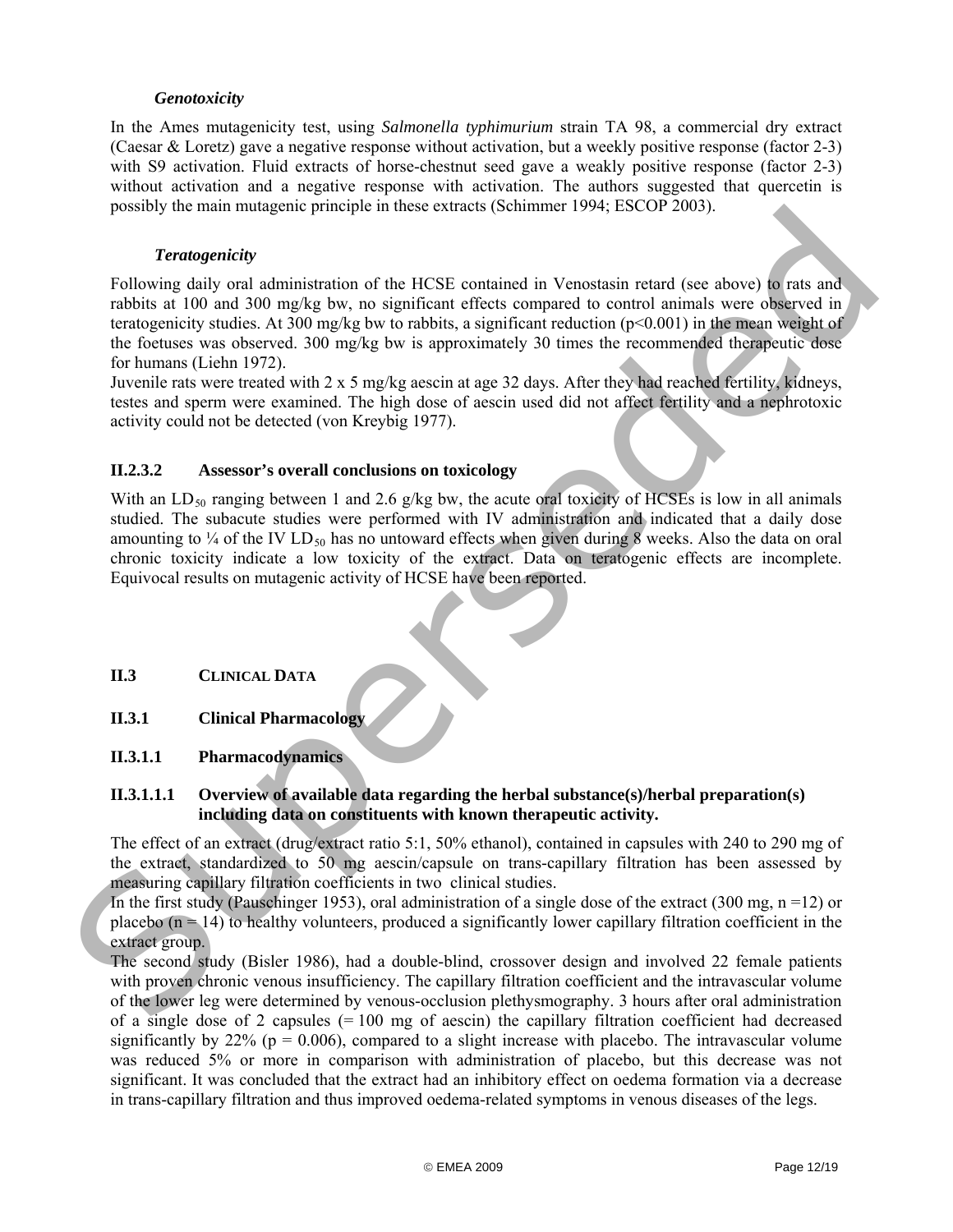## *Genotoxicity*

In the Ames mutagenicity test, using *Salmonella typhimurium* strain TA 98, a commercial dry extract (Caesar & Loretz) gave a negative response without activation, but a weekly positive response (factor 2-3) with S9 activation. Fluid extracts of horse-chestnut seed gave a weakly positive response (factor 2-3) without activation and a negative response with activation. The authors suggested that quercetin is possibly the main mutagenic principle in these extracts (Schimmer 1994; ESCOP 2003).

#### *Teratogenicity*

Following daily oral administration of the HCSE contained in Venostasin retard (see above) to rats and rabbits at 100 and 300 mg/kg bw, no significant effects compared to control animals were observed in teratogenicity studies. At 300 mg/kg bw to rabbits, a significant reduction ( $p<0.001$ ) in the mean weight of the foetuses was observed. 300 mg/kg bw is approximately 30 times the recommended therapeutic dose for humans (Liehn 1972). possiony no main murigient pensiple in mose estraints (semimare 1999; PSCOP 2003)<br>
Tollowing (aslly oral administration of the IICSE contained in Venostasin retad (see above) to fats and<br>
rabios at 100 on and 200 mpkg bw

Juvenile rats were treated with 2 x 5 mg/kg aescin at age 32 days. After they had reached fertility, kidneys, testes and sperm were examined. The high dose of aescin used did not affect fertility and a nephrotoxic activity could not be detected (von Kreybig 1977).

## <span id="page-11-0"></span>**II.2.3.2 Assessor's overall conclusions on toxicology**

With an  $LD_{50}$  ranging between 1 and 2.6 g/kg bw, the acute oral toxicity of HCSEs is low in all animals studied. The subacute studies were performed with IV administration and indicated that a daily dose amounting to  $\frac{1}{4}$  of the IV LD<sub>50</sub> has no untoward effects when given during 8 weeks. Also the data on oral chronic toxicity indicate a low toxicity of the extract. Data on teratogenic effects are incomplete. Equivocal results on mutagenic activity of HCSE have been reported.

- <span id="page-11-1"></span>**II.3 CLINICAL DATA**
- <span id="page-11-2"></span>**II.3.1 Clinical Pharmacology**
- <span id="page-11-3"></span>**II.3.1.1 Pharmacodynamics**

#### **II.3.1.1.1 Overview of available data regarding the herbal substance(s)/herbal preparation(s) including data on constituents with known therapeutic activity.**

The effect of an extract (drug/extract ratio 5:1, 50% ethanol), contained in capsules with 240 to 290 mg of the extract, standardized to 50 mg aescin/capsule on trans-capillary filtration has been assessed by measuring capillary filtration coefficients in two clinical studies.

In the first study (Pauschinger 1953), oral administration of a single dose of the extract (300 mg,  $n = 12$ ) or placebo  $(n = 14)$  to healthy volunteers, produced a significantly lower capillary filtration coefficient in the extract group.

The second study (Bisler 1986), had a double-blind, crossover design and involved 22 female patients with proven chronic venous insufficiency. The capillary filtration coefficient and the intravascular volume of the lower leg were determined by venous-occlusion plethysmography. 3 hours after oral administration of a single dose of 2 capsules  $(= 100 \text{ mg of } a\text{escin})$  the capillary filtration coefficient had decreased significantly by 22% ( $p = 0.006$ ), compared to a slight increase with placebo. The intravascular volume was reduced 5% or more in comparison with administration of placebo, but this decrease was not significant. It was concluded that the extract had an inhibitory effect on oedema formation via a decrease in trans-capillary filtration and thus improved oedema-related symptoms in venous diseases of the legs.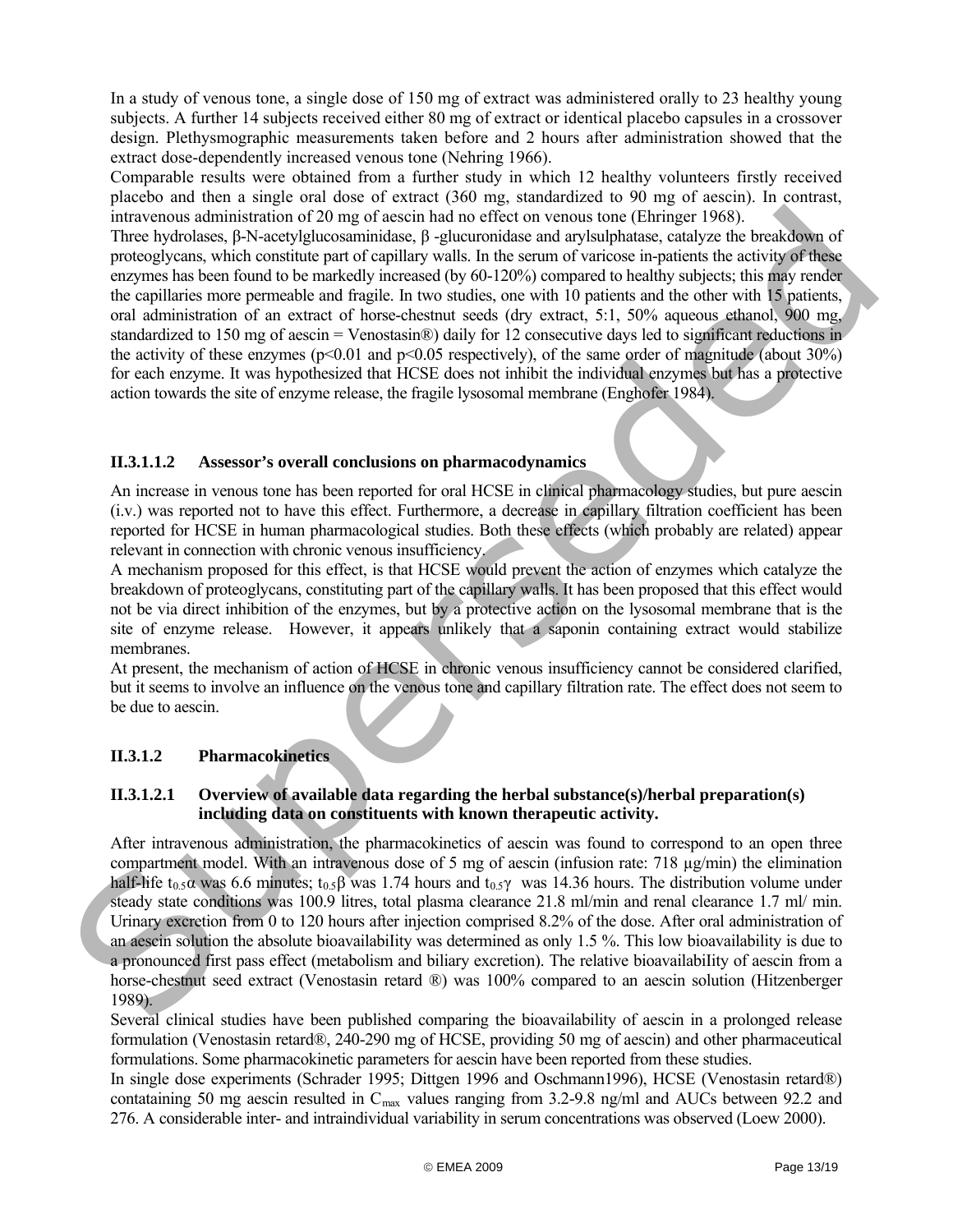In a study of venous tone, a single dose of 150 mg of extract was administered orally to 23 healthy young subjects. A further 14 subjects received either 80 mg of extract or identical placebo capsules in a crossover design. Plethysmographic measurements taken before and 2 hours after administration showed that the extract dose-dependently increased venous tone (Nehring 1966).

Comparable results were obtained from a further study in which 12 healthy volunteers firstly received placebo and then a single oral dose of extract (360 mg, standardized to 90 mg of aescin). In contrast, intravenous administration of 20 mg of aescin had no effect on venous tone (Ehringer 1968).

Three hydrolases, β-N-acetylglucosaminidase, β -glucuronidase and arylsulphatase, catalyze the breakdown of proteoglycans, which constitute part of capillary walls. In the serum of varicose in-patients the activity of these enzymes has been found to be markedly increased (by 60-120%) compared to healthy subjects; this may render the capillaries more permeable and fragile. In two studies, one with 10 patients and the other with 15 patients, oral administration of an extract of horse-chestnut seeds (dry extract, 5:1, 50% aqueous ethanol, 900 mg, standardized to 150 mg of aescin = Venostasin®) daily for 12 consecutive days led to significant reductions in the activity of these enzymes ( $p<0.01$  and  $p<0.05$  respectively), of the same order of magnitude (about 30%) for each enzyme. It was hypothesized that HCSE does not inhibit the individual enzymes but has a protective action towards the site of enzyme release, the fragile lysosomal membrane (Enghofer 1984). intersenses administration of 20 mg of rescin had no effect to we renor to meet the higher theorem is the consideration of the consideration of the state of the state of the state of the state of the state of the state of

## **II.3.1.1.2 Assessor's overall conclusions on pharmacodynamics**

An increase in venous tone has been reported for oral HCSE in clinical pharmacology studies, but pure aescin (i.v.) was reported not to have this effect. Furthermore, a decrease in capillary filtration coefficient has been reported for HCSE in human pharmacological studies. Both these effects (which probably are related) appear relevant in connection with chronic venous insufficiency.

A mechanism proposed for this effect, is that HCSE would prevent the action of enzymes which catalyze the breakdown of proteoglycans, constituting part of the capillary walls. It has been proposed that this effect would not be via direct inhibition of the enzymes, but by a protective action on the lysosomal membrane that is the site of enzyme release. However, it appears unlikely that a saponin containing extract would stabilize membranes.

At present, the mechanism of action of HCSE in chronic venous insufficiency cannot be considered clarified, but it seems to involve an influence on the venous tone and capillary filtration rate. The effect does not seem to be due to aescin.

## <span id="page-12-0"></span>**II.3.1.2 Pharmacokinetics**

## **II.3.1.2.1 Overview of available data regarding the herbal substance(s)/herbal preparation(s) including data on constituents with known therapeutic activity.**

After intravenous administration, the pharmacokinetics of aescin was found to correspond to an open three compartment model. With an intravenous dose of 5 mg of aescin (infusion rate:  $718 \text{ µg/min}$ ) the elimination half-life t<sub>0.5</sub> $\alpha$  was 6.6 minutes; t<sub>0.5</sub> $\beta$  was 1.74 hours and t<sub>0.5</sub> $\gamma$  was 14.36 hours. The distribution volume under steady state conditions was 100.9 litres, total plasma clearance 21.8 ml/min and renal clearance 1.7 ml/ min. Urinary excretion from 0 to 120 hours after injection comprised 8.2% of the dose. After oral administration of an aescin solution the absolute bioavailabiIity was determined as only 1.5 %. This low bioavailability is due to a pronounced first pass effect (metabolism and biliary excretion). The relative bioavailabiIity of aescin from a horse-chestnut seed extract (Venostasin retard ®) was 100% compared to an aescin solution (Hitzenberger 1989).

Several clinical studies have been published comparing the bioavailability of aescin in a prolonged release formulation (Venostasin retard®, 240-290 mg of HCSE, providing 50 mg of aescin) and other pharmaceutical formulations. Some pharmacokinetic parameters for aescin have been reported from these studies.

In single dose experiments (Schrader 1995; Dittgen 1996 and Oschmann1996), HCSE (Venostasin retard®) contataining 50 mg aescin resulted in  $C_{\text{max}}$  values ranging from 3.2-9.8 ng/ml and AUCs between 92.2 and 276. A considerable inter- and intraindividual variability in serum concentrations was observed (Loew 20 00).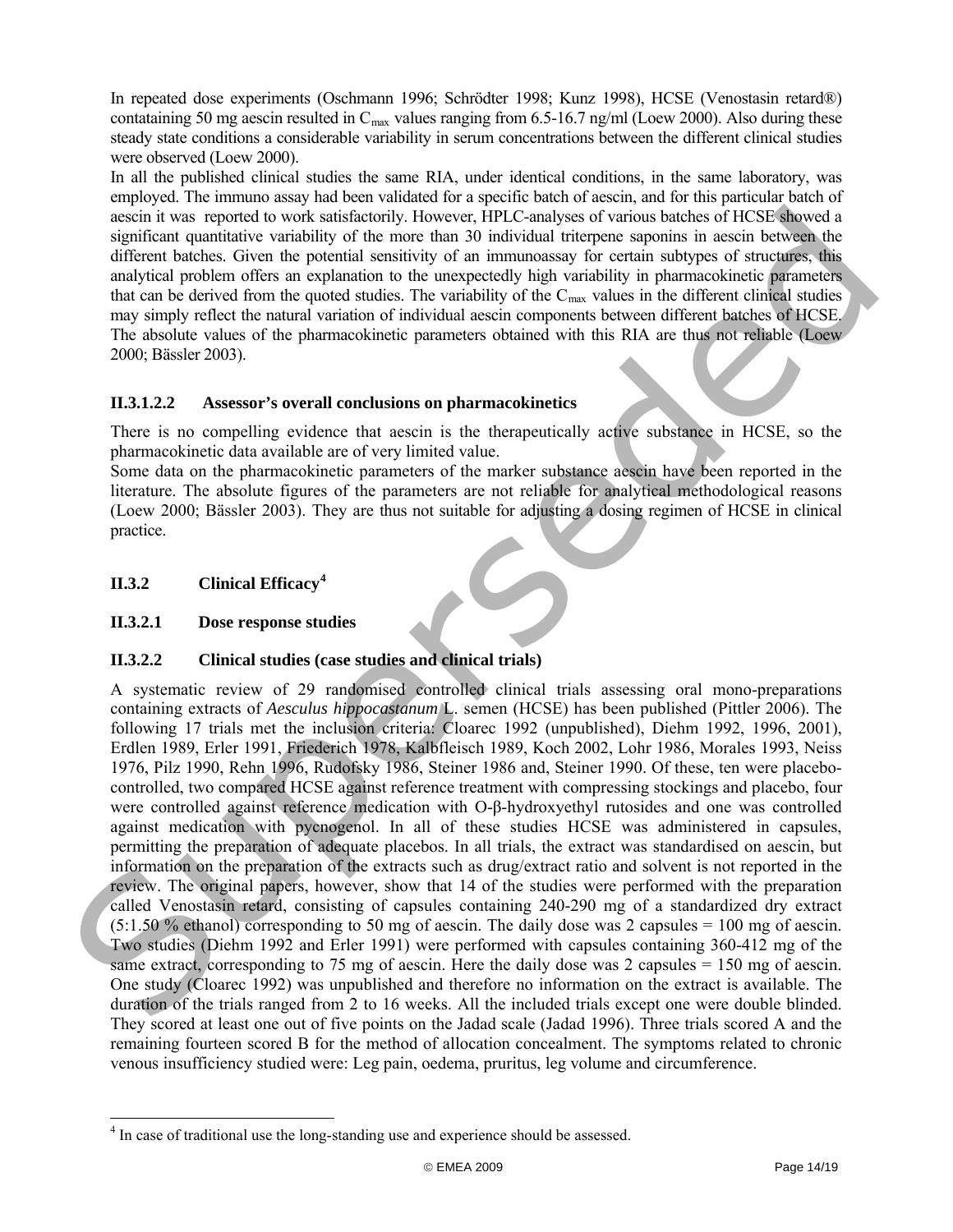In repeated dose experiments (Oschmann 1996; Schrödter 1998; Kunz 1998), HCSE (Venostasin retard®) contataining 50 mg aescin resulted in  $C_{\text{max}}$  values ranging from 6.5-16.7 ng/ml (Loew 2000). Also during these steady state conditions a considerable variability in serum concentrations between the different clinical studies were observed (Loew 2000).

In all the published clinical studies the same RIA, under identical conditions, in the same laboratory, was employed. The immuno assay had been validated for a specific batch of aescin, and for this particular batch of aescin it was reported to work satisfactorily. However, HPLC-analyses of various batches of HCSE showed a significant quantitative variability of the more than 30 individual triterpene saponins in aescin between the different batches. Given the potential sensitivity of an immunoassay for certain subtypes of structures, this analytical problem offers an explanation to the unexpectedly high variability in pharmacokinetic parameters that can be derived from the quoted studies. The variability of the  $C_{\text{max}}$  values in the different clinical studies may simply reflect the natural variation of individual aescin components between different batches of HCSE. The absolute values of the pharmacokinetic parameters obtained with this RIA are thus not reliable (Loew 2000; Bässler 2003).

## **II.3.1.2.2 Assessor's overall conclusions on pharmacokinetics**

There is no compelling evidence that aescin is the therapeutically active substance in HCSE, so the pharmacokinetic data available are of very limited value.

Some data on the pharmacokinetic parameters of the marker substance aescin have been reported in the literature. The absolute figures of the parameters are not reliable for analytical methodological reasons (Loew 2000; Bässler 2003). They are thus not suitable for adjusting a dosing regimen of HCSE in clinical practice.

# <span id="page-13-0"></span>**II.3.2 Clinical Efficacy<sup>4</sup>**

l

## <span id="page-13-1"></span>**II.3.2.1 Dose response studies**

## <span id="page-13-2"></span>**II.3.2.2 Clinical studies (case studies and clinical trials)**

A systematic review of 29 randomised controlled clinical trials assessing oral mono-preparations containing extracts of *Aesculus hippocastanum* L. semen (HCSE) has been published (Pittler 2006). The following 17 trials met the inclusion criteria: Cloarec 1992 (unpublished), Diehm 1992, 1996, 2001), Erdlen 1989, Erler 1991, Friederich 1978, Kalbfleisch 1989, Koch 2002, Lohr 1986, Morales 1993, Neiss 1976, Pilz 1990, Rehn 1996, Rudofsky 1986, Steiner 1986 and, Steiner 1990. Of these, ten were placebocontrolled, two compared HCSE against reference treatment with compressing stockings and placebo, four were controlled against reference medication with O-β-hydroxyethyl rutosides and one was controlled against medication with pycnogenol. In all of these studies HCSE was administered in capsules, permitting the preparation of adequate placebos. In all trials, the extract was standardised on aescin, but information on the preparation of the extracts such as drug/extract ratio and solvent is not reported in the review. The original papers, however, show that 14 of the studies were performed with the preparation called Venostasin retard, consisting of capsules containing 240-290 mg of a standardized dry extract  $(5:1.50\%$  ethanol) corresponding to 50 mg of aescin. The daily dose was 2 capsules = 100 mg of aescin. Two studies (Diehm 1992 and Erler 1991) were performed with capsules containing 360-412 mg of the same extract, corresponding to 75 mg of aescin. Here the daily dose was 2 capsules = 150 mg of aescin. One study (Cloarec 1992) was unpublished and therefore no information on the extract is available. The duration of the trials ranged from 2 to 16 weeks. All the included trials except one were double blinded. They scored at least one out of five points on the Jadad scale (Jadad 1996). Three trials scored A and the remaining fourteen scored B for the method of allocation concealment. The symptoms related to chronic venous insufficiency studied were: Leg pain, oedema, pruritus, leg volume and circumference. assimilities we repoted to work stricketically. However, thr.C. can<br>be significant quantitative variabitity of the more than 10 individual trierpene suponias in a<br>casin between the different hatests (ivere the different b

<span id="page-13-3"></span><sup>&</sup>lt;sup>4</sup> In case of traditional use the long-standing use and experience should be assessed.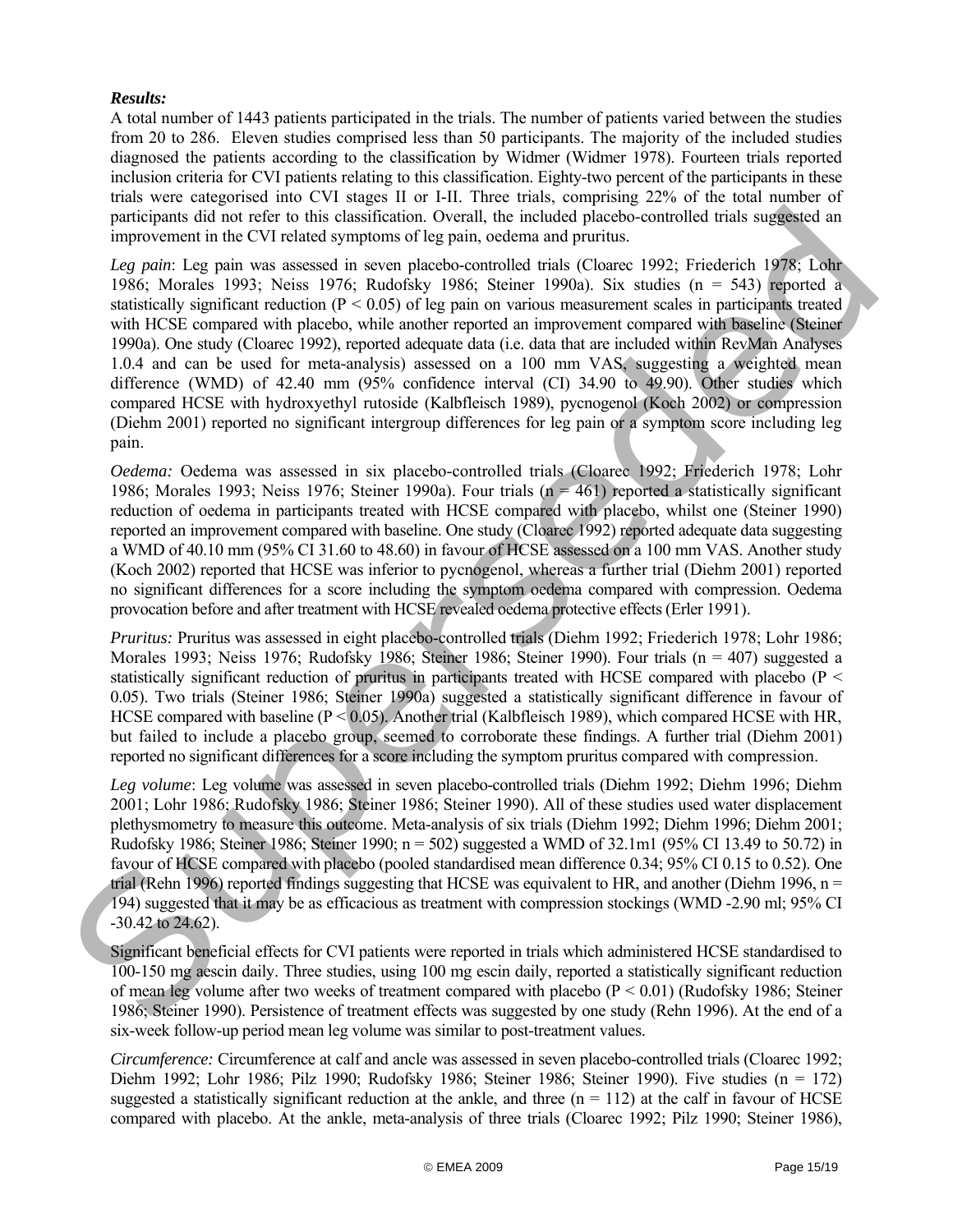## *Results:*

A total number of 1443 patients participated in the trials. The number of patients varied between the studies from 20 to 286. Eleven studies comprised less than 50 participants. The majority of the included studies diagnosed the patients according to the classification by Widmer (Widmer 1978). Fourteen trials reported inclusion criteria for CVI patients relating to this classification. Eighty-two percent of the participants in these trials were categorised into CVI stages II or I-II. Three trials, comprising 22% of the total number of participants did not refer to this classification. Overall, the included placebo-controlled trials suggested an improvement in the CVI related symptoms of leg pain, oedema and pruritus.

*Leg pain*: Leg pain was assessed in seven placebo-controlled trials (Cloarec 1992; Friederich 1978; Lohr 1986; Morales 1993; Neiss 1976; Rudofsky 1986; Steiner 1990a). Six studies (n = 543) reported a statistically significant reduction ( $P < 0.05$ ) of leg pain on various measurement scales in participants treated with HCSE compared with placebo, while another reported an improvement compared with baseline (Steiner 1990a). One study (Cloarec 1992), reported adequate data (i.e. data that are included within RevMan Analyses 1.0.4 and can be used for meta-analysis) assessed on a 100 mm VAS, suggesting a weighted mean difference (WMD) of 42.40 mm (95% confidence interval (CI) 34.90 to 49.90). Other studies which compared HCSE with hydroxyethyl rutoside (Kalbfleisch 1989), pycnogenol (Koch 2002) or compression (Diehm 2001) reported no significant intergroup differences for leg pain or a symptom score including leg pain. proticipant did not refer to this classification. Overall, the included photo-scentrolled into suggested an exponential the strength of the controlled photo-scenering the strength of the strength of the strength of the st

*Oedema:* Oedema was assessed in six placebo-controlled trials (Cloarec 1992; Friederich 1978; Lohr 1986; Morales 1993; Neiss 1976; Steiner 1990a). Four trials  $(n = 461)$  reported a statistically significant reduction of oedema in participants treated with HCSE compared with placebo, whilst one (Steiner 1990) reported an improvement compared with baseline. One study (Cloarec 1992) reported adequate data suggesting a WMD of 40.10 mm (95% CI 31.60 to 48.60) in favour of HCSE assessed on a 100 mm VAS. Another study (Koch 2002) reported that HCSE was inferior to pycnogenol, whereas a further trial (Diehm 2001) reported no significant differences for a score including the symptom oedema compared with compression. Oedema provocation before and after treatment with HCSE revealed oedema protective effects (Erler 1991).

*Pruritus:* Pruritus was assessed in eight placebo-controlled trials (Diehm 1992; Friederich 1978; Lohr 1986; Morales 1993; Neiss 1976; Rudofsky 1986; Steiner 1986; Steiner 1990). Four trials (n = 407) suggested a statistically significant reduction of pruritus in participants treated with HCSE compared with placebo (P < 0.05). Two trials (Steiner 1986; Steiner 1990a) suggested a statistically significant difference in favour of HCSE compared with baseline (P < 0.05). Another trial (Kalbfleisch 1989), which compared HCSE with HR, but failed to include a placebo group, seemed to corroborate these findings. A further trial (Diehm 2001) reported no significant differences for a score including the symptom pruritus compared with compression.

*Leg volume*: Leg volume was assessed in seven placebo-controlled trials (Diehm 1992; Diehm 1996; Diehm 2001; Lohr 1986; Rudofsky 1986; Steiner 1986; Steiner 1990). All of these studies used water displacement plethysmometry to measure this outcome. Meta-analysis of six trials (Diehm 1992; Diehm 1996; Diehm 2001; Rudofsky 1986; Steiner 1986; Steiner 1990;  $n = 502$ ) suggested a WMD of 32.1m1 (95% CI 13.49 to 50.72) in favour of HCSE compared with placebo (pooled standardised mean difference 0.34; 95% CI 0.15 to 0.52). One trial (Rehn 1996) reported findings suggesting that HCSE was equivalent to HR, and another (Diehm 1996, n = 194) suggested that it may be as efficacious as treatment with compression stockings (WMD -2.90 ml; 95% CI -30.42 to 24.62).

Significant beneficial effects for CVI patients were reported in trials which administered HCSE standardised to 100-150 mg aescin daily. Three studies, using 100 mg escin daily, reported a statistically significant reduction of mean leg volume after two weeks of treatment compared with placebo (P < 0.01) (Rudofsky 1986; Steiner 1986; Steiner 1990). Persistence of treatment effects was suggested by one study (Rehn 1996). At the end of a six-week follow-up period mean leg volume was similar to post-treatment values.

*Circumference:* Circumference at calf and ancle was assessed in seven placebo-controlled trials (Cloarec 1992; Diehm 1992; Lohr 1986; Pilz 1990; Rudofsky 1986; Steiner 1986; Steiner 1990). Five studies (n = 172) suggested a statistically significant reduction at the ankle, and three  $(n = 112)$  at the calf in favour of HCSE compared with placebo. At the ankle, meta-analysis of three trials (Cloarec 1992; Pilz 1990; Steiner 1986),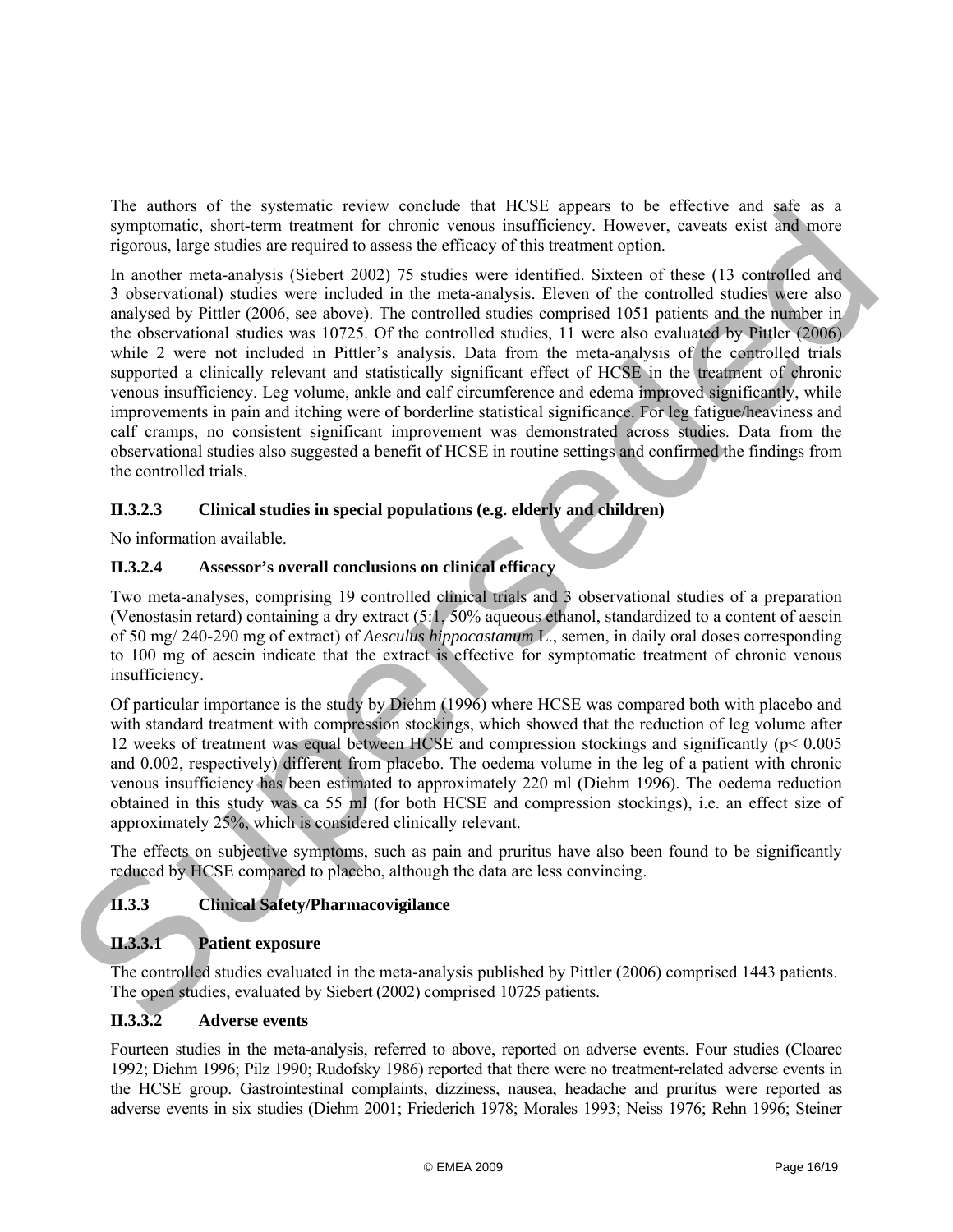The authors of the systematic review conclude that HCSE appears to be effective and safe as a symptomatic, short-term treatment for chronic venous insufficiency. However, caveats exist and more rigorous, large studies are required to assess the efficacy of this treatment option.

In another meta-analysis (Siebert 2002) 75 studies were identified. Sixteen of these (13 controlled and 3 observational) studies were included in the meta-analysis. Eleven of the controlled studies were also analysed by Pittler (2006, see above). The controlled studies comprised 1051 patients and the number in the observational studies was 10725. Of the controlled studies, 11 were also evaluated by Pittler (2006) while 2 were not included in Pittler's analysis. Data from the meta-analysis of the controlled trials supported a clinically relevant and statistically significant effect of HCSE in the treatment of chronic venous insufficiency. Leg volume, ankle and calf circumference and edema improved significantly, while improvements in pain and itching were of borderline statistical significance. For leg fatigue/heaviness and calf cramps, no consistent significant improvement was demonstrated across studies. Data from the observational studies also suggested a benefit of HCSE in routine settings and confirmed the findings from the controlled trials. ITe aments or me systemate review ones that we save a presence in the section and save as a section of the system and the council of the system of the system of the system of the system of the system of the system of the

## <span id="page-15-0"></span>**II.3.2.3 Clinical studies in special populations (e.g. elderly and children)**

No information available.

## <span id="page-15-1"></span>**II.3.2.4 Assessor's overall conclusions on clinical efficacy**

Two meta-analyses, comprising 19 controlled clinical trials and 3 observational studies of a preparation (Venostasin retard) containing a dry extract (5:1, 50% aqueous ethanol, standardized to a content of aescin of 50 mg/ 240-290 mg of extract) of *Aesculus hippocastanum* L., semen, in daily oral doses corresponding to 100 mg of aescin indicate that the extract is effective for symptomatic treatment of chronic venous insufficiency.

Of particular importance is the study by Diehm (1996) where HCSE was compared both with placebo and with standard treatment with compression stockings, which showed that the reduction of leg volume after 12 weeks of treatment was equal between HCSE and compression stockings and significantly (p< 0.005 and 0.002, respectively) different from placebo. The oedema volume in the leg of a patient with chronic venous insufficiency has been estimated to approximately 220 ml (Diehm 1996). The oedema reduction obtained in this study was ca 55 ml (for both HCSE and compression stockings), i.e. an effect size of approximately 25%, which is considered clinically relevant.

The effects on subjective symptoms, such as pain and pruritus have also been found to be significantly reduced by HCSE compared to placebo, although the data are less convincing.

## <span id="page-15-2"></span>**II.3.3 Clinical Safety/Pharmacovigilance**

## <span id="page-15-3"></span>**II.3.3.1 Patient exposure**

The controlled studies evaluated in the meta-analysis published by Pittler (2006) comprised 1443 patients. The open studies, evaluated by Siebert (2002) comprised 10725 patients.

## <span id="page-15-4"></span>**II.3.3.2 Adverse events**

Fourteen studies in the meta-analysis, referred to above, reported on adverse events. Four studies (Cloarec 1992; Diehm 1996; Pilz 1990; Rudofsky 1986) reported that there were no treatment-related adverse events in the HCSE group. Gastrointestinal complaints, dizziness, nausea, headache and pruritus were reported as adverse events in six studies (Diehm 2001; Friederich 1978; Morales 1993; Neiss 1976; Rehn 1996; Steiner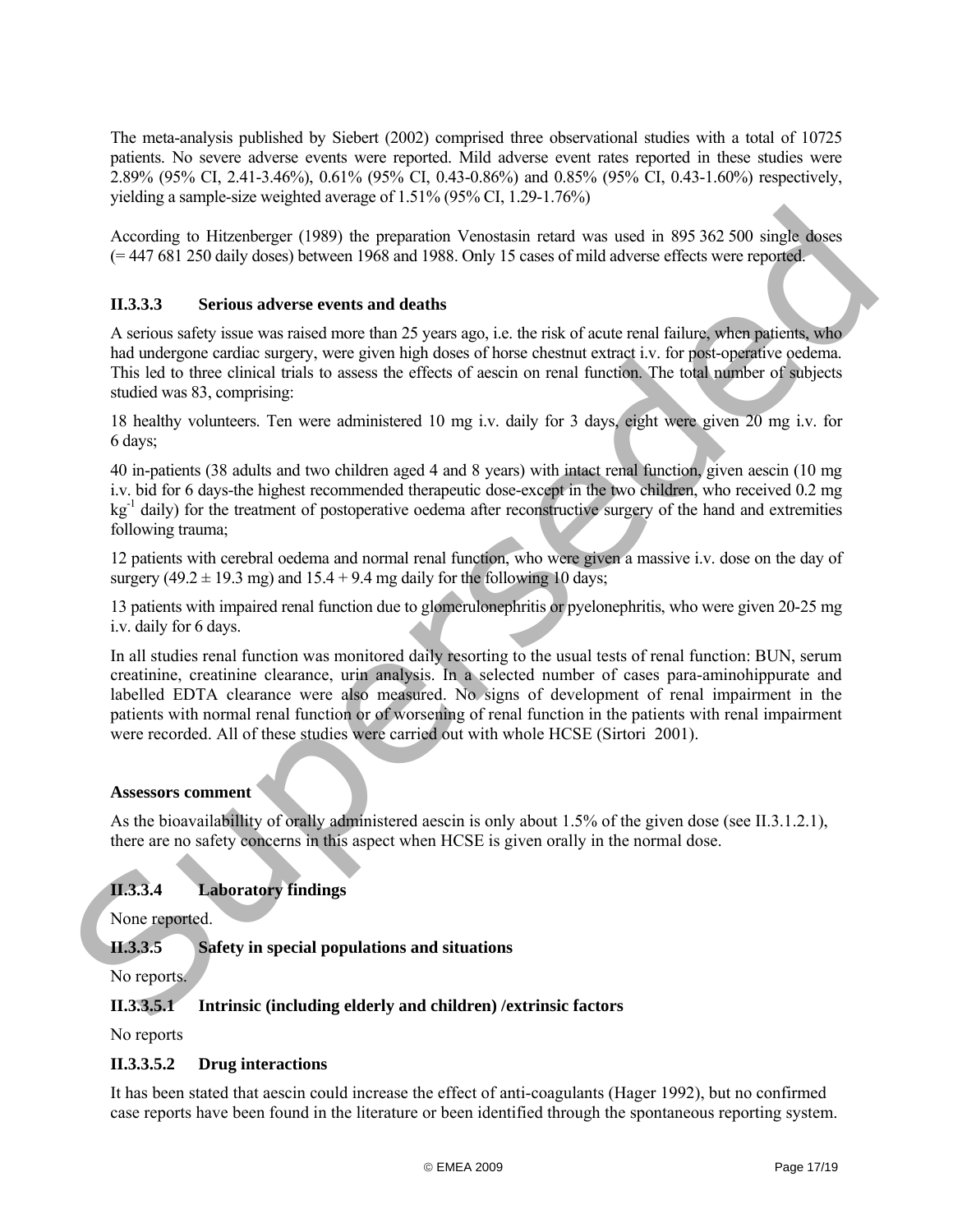The meta-analysis published by Siebert (2002) comprised three observational studies with a total of 10725 patients. No severe adverse events were reported. Mild adverse event rates reported in these studies were 2.89% (95% CI, 2.41-3.46%), 0.61% (95% CI, 0.43-0.86%) and 0.85% (95% CI, 0.43-1.60%) respectively, yielding a sample-size weighted average of 1.51% (95% CI, 1.29-1.76%)

According to Hitzenberger (1989) the preparation Venostasin retard was used in 895 362 500 single doses (= 447 681 250 daily doses) between 1968 and 1988. Only 15 cases of mild adverse effects were reported.

## <span id="page-16-0"></span>**II.3.3.3 Serious adverse events and deaths**

A serious safety issue was raised more than 25 years ago, i.e. the risk of acute renal failure, when patients, who had undergone cardiac surgery, were given high doses of horse chestnut extract i.v. for post-operative oedema. This led to three clinical trials to assess the effects of aescin on renal function. The total number of subjects studied was 83, comprising:

18 healthy volunteers. Ten were administered 10 mg i.v. daily for 3 days, eight were given 20 mg i.v. for 6 days;

40 in-patients (38 adults and two children aged 4 and 8 years) with intact renal function, given aescin (10 mg i.v. bid for 6 days-the highest recommended therapeutic dose-except in the two children, who received 0.2 mg  $kg<sup>-1</sup>$  daily) for the treatment of postoperative oedema after reconstructive surgery of the hand and extremities following trauma;

12 patients with cerebral oedema and normal renal function, who were given a massive i.v. dose on the day of surgery  $(49.2 \pm 19.3 \text{ mg})$  and  $15.4 + 9.4 \text{ mg}$  daily for the following 10 days;

13 patients with impaired renal function due to glomerulonephritis or pyelonephritis, who were given 20-25 mg i.v. daily for 6 days.

In all studies renal function was monitored daily resorting to the usual tests of renal function: BUN, serum creatinine, creatinine clearance, urin analysis. In a selected number of cases para-aminohippurate and labelled EDTA clearance were also measured. No signs of development of renal impairment in the patients with normal renal function or of worsening of renal function in the patients with renal impairment were recorded. All of these studies were carried out with whole HCSE (Sirtori 2001). According to Hitzenberger (1989) the preparation Venostasia retard was used in 895 362 500 single doors (=447 681 250 daily dows) hetwoon 1968 and eathly 15 cases of mid advants effects were reported<br>
11.3.3.3 Series and

## **Assessors comment**

As the bioavailabillity of orally administered aescin is only about 1.5% of the given dose (see II.3.1.2.1), there are no safety concerns in this aspect when HCSE is given orally in the normal dose.

# <span id="page-16-1"></span>**II.3.3.4 Laboratory findings**

None reported.

## <span id="page-16-2"></span>**II.3.3.5 Safety in special populations and situations**

No reports.

## **II.3.3.5.1 Intrinsic (including elderly and children) /extrinsic factors**

No reports

## **II.3.3.5.2 Drug interactions**

It has been stated that aescin could increase the effect of anti-coagulants (Hager 1992), but no confirmed case reports have been found in the literature or been identified through the spontaneous reporting system.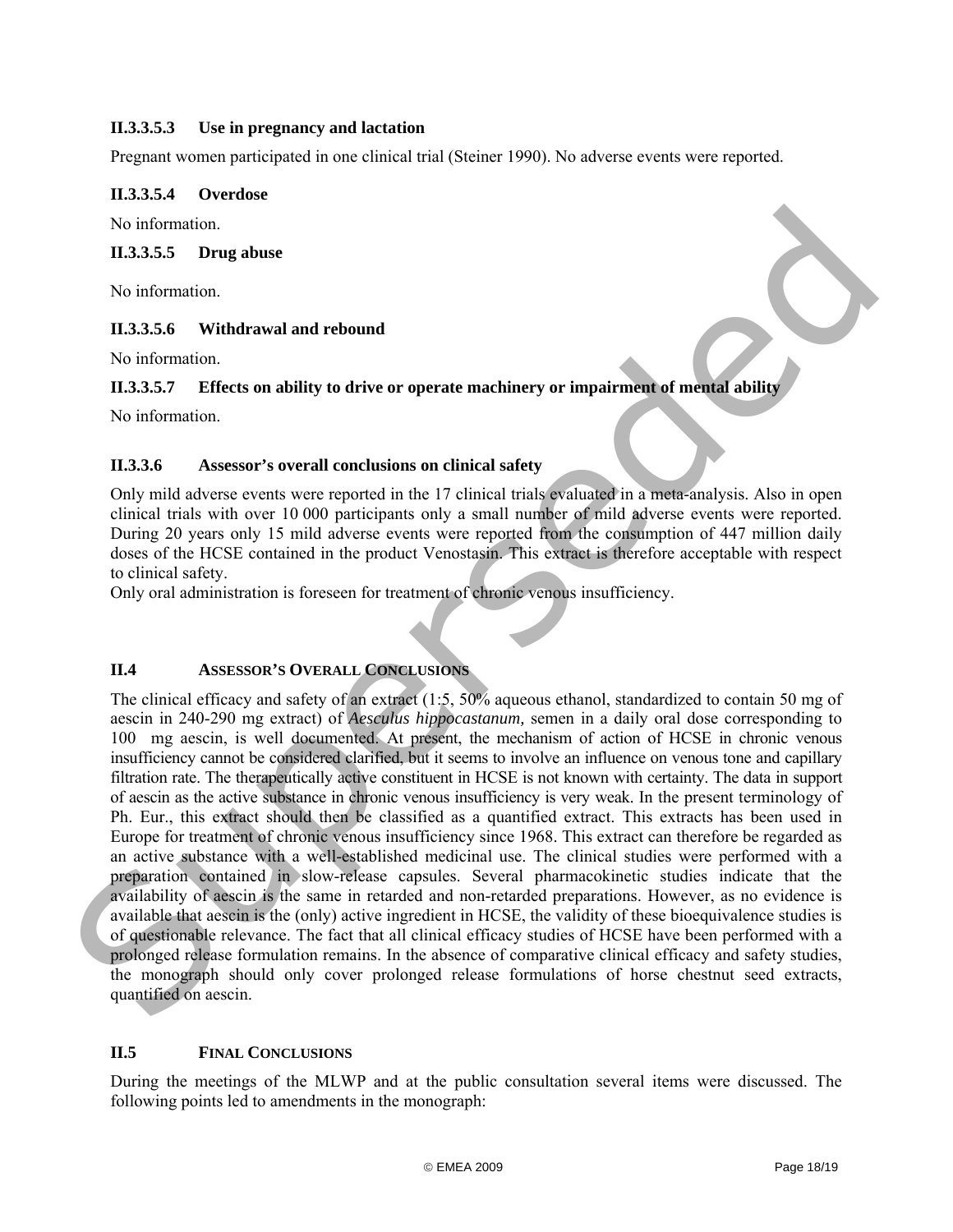## **II.3.3.5.3 Use in pregnancy and lactation**

Pregnant women participated in one clinical trial (Steiner 1990). No adverse events were reported.

## **II.3.3.5.4 Overdose**

No information.

## **II.3.3.5.5 Drug abuse**

No information.

## **II.3.3.5.6 Withdrawal and rebound**

No information.

## **II.3.3.5.7 Effects on ability to drive or operate machinery or impairment of mental ability**

No information.

## <span id="page-17-0"></span>**II.3.3.6 Assessor's overall conclusions on clinical safety**

Only mild adverse events were reported in the 17 clinical trials evaluated in a meta-analysis. Also in open clinical trials with over 10 000 participants only a small number of mild adverse events were reported. During 20 years only 15 mild adverse events were reported from the consumption of 447 million daily doses of the HCSE contained in the product Venostasin. This extract is therefore acceptable with respect to clinical safety.

Only oral administration is foreseen for treatment of chronic venous insufficiency.

## <span id="page-17-1"></span>**II.4 ASSESSOR'S OVERALL CONCLUSIONS**

The clinical efficacy and safety of an extract (1:5, 50% aqueous ethanol, standardized to contain 50 mg of aescin in 240-290 mg extract) of *Aesculus hippocastanum,* semen in a daily oral dose corresponding to 100 mg aescin, is well documented. At present, the mechanism of action of HCSE in chronic venous insufficiency cannot be considered clarified, but it seems to involve an influence on venous tone and capillary filtration rate. The therapeutically active constituent in HCSE is not known with certainty. The data in support of aescin as the active substance in chronic venous insufficiency is very weak. In the present terminology of Ph. Eur., this extract should then be classified as a quantified extract. This extracts has been used in Europe for treatment of chronic venous insufficiency since 1968. This extract can therefore be regarded as an active substance with a well-established medicinal use. The clinical studies were performed with a preparation contained in slow-release capsules. Several pharmacokinetic studies indicate that the availability of aescin is the same in retarded and non-retarded preparations. However, as no evidence is available that aescin is the (only) active ingredient in HCSE, the validity of these bioequivalence studies is of questionable relevance. The fact that all clinical efficacy studies of HCSE have been performed with a prolonged release formulation remains. In the absence of comparative clinical efficacy and safety studies, the monograph should only cover prolonged release formulations of horse chestnut seed extracts, quantified on aescin. No information.<br>
11.3.3.5.5 Drug abuse<br>
No information<br>
11.3.3.5.6 Drug abuse<br>
No information<br>
11.3.3.5.6 Withdrawal and rebound<br>
No information<br>
11.3.3.5.7 Effects on ability to drive or operate machinery or impairment o

## <span id="page-17-2"></span>**II.5 FINAL CONCLUSIONS**

During the meetings of the MLWP and at the public consultation several items were discussed. The following points led to amendments in the monograph: